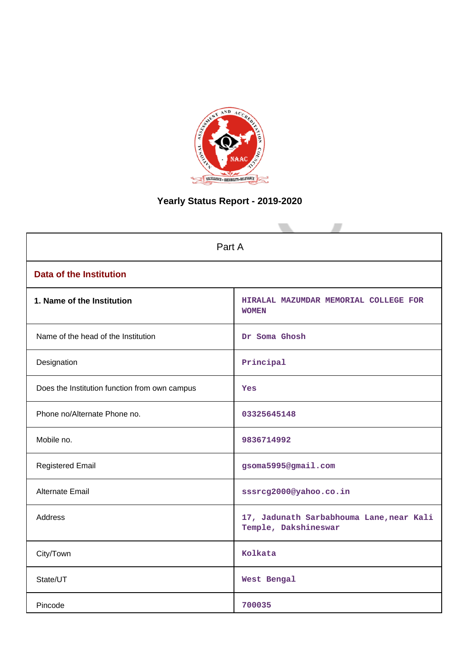

# **Yearly Status Report - 2019-2020**

| Part A                                        |                                                                  |
|-----------------------------------------------|------------------------------------------------------------------|
| <b>Data of the Institution</b>                |                                                                  |
| 1. Name of the Institution                    | HIRALAL MAZUMDAR MEMORIAL COLLEGE FOR<br><b>WOMEN</b>            |
| Name of the head of the Institution           | Dr Soma Ghosh                                                    |
| Designation                                   | Principal                                                        |
| Does the Institution function from own campus | <b>Yes</b>                                                       |
| Phone no/Alternate Phone no.                  | 03325645148                                                      |
| Mobile no.                                    | 9836714992                                                       |
| <b>Registered Email</b>                       | gsoma5995@gmail.com                                              |
| Alternate Email                               | sssrcg2000@yahoo.co.in                                           |
| <b>Address</b>                                | 17, Jadunath Sarbabhouma Lane, near Kali<br>Temple, Dakshineswar |
| City/Town                                     | Kolkata                                                          |
| State/UT                                      | West Bengal                                                      |
| Pincode                                       | 700035                                                           |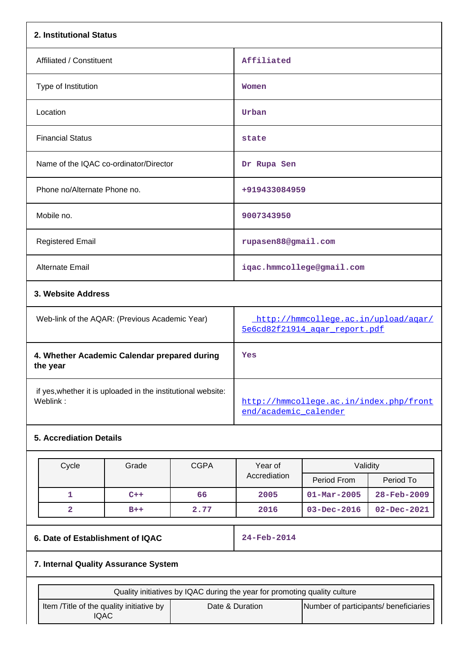| 2. Institutional Status                                                  |                                                                       |
|--------------------------------------------------------------------------|-----------------------------------------------------------------------|
| Affiliated / Constituent                                                 | Affiliated                                                            |
| Type of Institution                                                      | Women                                                                 |
| Location                                                                 | Urban                                                                 |
| <b>Financial Status</b>                                                  | state                                                                 |
| Name of the IQAC co-ordinator/Director                                   | Dr Rupa Sen                                                           |
| Phone no/Alternate Phone no.                                             | +919433084959                                                         |
| Mobile no.                                                               | 9007343950                                                            |
| <b>Registered Email</b>                                                  | rupasen88@gmail.com                                                   |
| Alternate Email                                                          | iqac.hmmcollege@gmail.com                                             |
| 3. Website Address                                                       |                                                                       |
| Web-link of the AQAR: (Previous Academic Year)                           | http://hmmcollege.ac.in/upload/agar/<br>5e6cd82f21914 agar report.pdf |
| 4. Whether Academic Calendar prepared during<br>the year                 | Yes                                                                   |
| if yes, whether it is uploaded in the institutional website:<br>Weblink: | http://hmmcollege.ac.in/index.php/front<br>end/academic calender      |

## **5. Accrediation Details**

| Cycle | Grade | <b>CGPA</b> | Year of      | Validity                 |                          |
|-------|-------|-------------|--------------|--------------------------|--------------------------|
|       |       |             | Accrediation | Period From              | Period To                |
|       | $C++$ | 66          | 2005         | $01 - \text{Mar} - 2005$ | $28 - \text{Feb} - 2009$ |
|       | $B++$ | 2.77        | 2016         | $03 - Dec - 2016$        | $02 - Dec - 2021$        |

## **6. Date of Establishment of IQAC 24-Feb-2014**

# **7. Internal Quality Assurance System**

| Quality initiatives by IQAC during the year for promoting quality culture |                 |                                       |
|---------------------------------------------------------------------------|-----------------|---------------------------------------|
| Item / Title of the quality initiative by<br>IQAC                         | Date & Duration | Number of participants/ beneficiaries |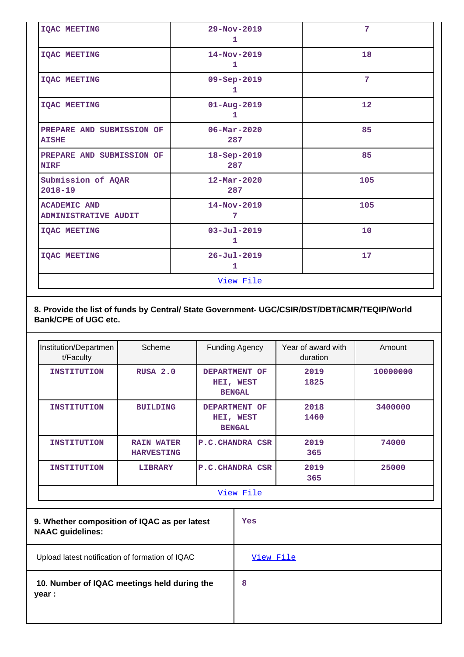| <b>IOAC MEETING</b>                                | $29 - Nov - 2019$<br>1          | 7               |
|----------------------------------------------------|---------------------------------|-----------------|
| <b>IQAC MEETING</b>                                | $14 - Nov - 2019$<br>1          | 18              |
| <b>IQAC MEETING</b>                                | 09-Sep-2019<br>1                | $7\phantom{.0}$ |
| <b>IQAC MEETING</b>                                | $01 - Aug - 2019$<br>1          | 12              |
| PREPARE AND SUBMISSION OF<br><b>AISHE</b>          | $06 - \text{Mar} - 2020$<br>287 | 85              |
| PREPARE AND SUBMISSION OF<br><b>NIRF</b>           | $18 - Sep - 2019$<br>287        | 85              |
| Submission of AQAR<br>$2018 - 19$                  | $12 - \text{Mar} - 2020$<br>287 | 105             |
| <b>ACADEMIC AND</b><br><b>ADMINISTRATIVE AUDIT</b> | 14-Nov-2019<br>7                | 105             |
| <b>IQAC MEETING</b>                                | $03 - Ju1 - 2019$<br>1          | 10              |
| <b>IQAC MEETING</b>                                | $26 - Jul - 2019$<br>1          | 17              |
|                                                    | View File                       |                 |

**8. Provide the list of funds by Central/ State Government- UGC/CSIR/DST/DBT/ICMR/TEQIP/World Bank/CPE of UGC etc.**

| Institution/Departmen<br>t/Faculty | Scheme                                 | <b>Funding Agency</b>                       | Year of award with<br>duration | Amount   |
|------------------------------------|----------------------------------------|---------------------------------------------|--------------------------------|----------|
| <b>INSTITUTION</b>                 | RUSA 2.0                               | DEPARTMENT OF<br>HEI, WEST<br><b>BENGAL</b> | 2019<br>1825                   | 10000000 |
| <b>INSTITUTION</b>                 | <b>BUILDING</b>                        | DEPARTMENT OF<br>HEI, WEST<br><b>BENGAL</b> | 2018<br>1460                   | 3400000  |
| <b>INSTITUTION</b>                 | <b>RAIN WATER</b><br><b>HARVESTING</b> | <b>P.C. CHANDRA CSR</b>                     | 2019<br>365                    | 74000    |
| <b>INSTITUTION</b>                 | <b>LIBRARY</b>                         | <b>P.C. CHANDRA CSR</b>                     | 2019<br>365                    | 25000    |
|                                    |                                        | View File                                   |                                |          |

| 9. Whether composition of IQAC as per latest<br><b>NAAC guidelines:</b> | Yes       |
|-------------------------------------------------------------------------|-----------|
| Upload latest notification of formation of IQAC                         | View File |
| 10. Number of IQAC meetings held during the<br>year :                   | 8         |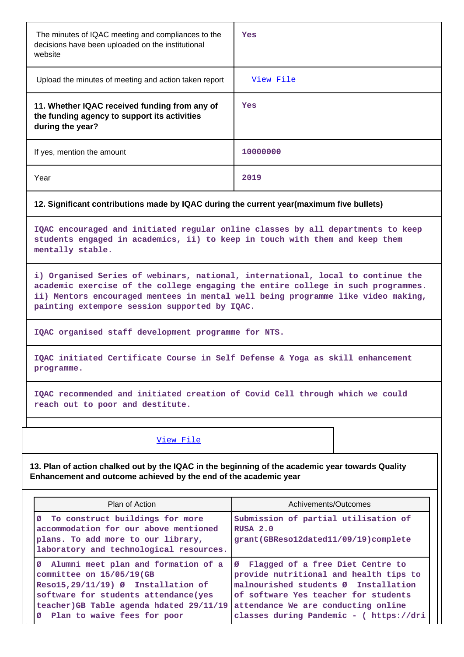| The minutes of IQAC meeting and compliances to the<br>decisions have been uploaded on the institutional<br>website | Yes              |  |
|--------------------------------------------------------------------------------------------------------------------|------------------|--|
| Upload the minutes of meeting and action taken report                                                              | <u>View File</u> |  |
| 11. Whether IQAC received funding from any of<br>the funding agency to support its activities<br>during the year?  | Yes              |  |
| If yes, mention the amount                                                                                         | 10000000         |  |
| Year                                                                                                               | 2019             |  |
| 12. Significant contributions made by IQAC during the current year (maximum five bullets)                          |                  |  |
| IQAC encouraged and initiated regular online classes by all departments to keep                                    |                  |  |

**students engaged in academics, ii) to keep in touch with them and keep them mentally stable.**

**i) Organised Series of webinars, national, international, local to continue the academic exercise of the college engaging the entire college in such programmes. ii) Mentors encouraged mentees in mental well being programme like video making, painting extempore session supported by IQAC.**

**IQAC organised staff development programme for NTS.**

**IQAC initiated Certificate Course in Self Defense & Yoga as skill enhancement programme.**

**IQAC recommended and initiated creation of Covid Cell through which we could reach out to poor and destitute.**

View File

**13. Plan of action chalked out by the IQAC in the beginning of the academic year towards Quality Enhancement and outcome achieved by the end of the academic year**

| Plan of Action                                                                                                                                                                                                                 | Achivements/Outcomes                                                                                                                                                                                                                           |
|--------------------------------------------------------------------------------------------------------------------------------------------------------------------------------------------------------------------------------|------------------------------------------------------------------------------------------------------------------------------------------------------------------------------------------------------------------------------------------------|
| Ø To construct buildings for more<br>accommodation for our above mentioned<br>plans. To add more to our library,<br>laboratory and technological resources.                                                                    | Submission of partial utilisation of<br>RUSA 2.0<br>grant (GBReso12dated11/09/19) complete                                                                                                                                                     |
| Ø Alumni meet plan and formation of a<br>committee on 15/05/19(GB<br>Resol5, 29/11/19) Ø Installation of<br>software for students attendance (yes<br>teacher) GB Table agenda hdated 29/11/19<br>Ø Plan to waive fees for poor | Ø Flagged of a free Diet Centre to<br>provide nutritional and health tips to<br>malnourished students Ø Installation<br>of software Yes teacher for students<br>attendance We are conducting online<br>classes during Pandemic - ( https://dri |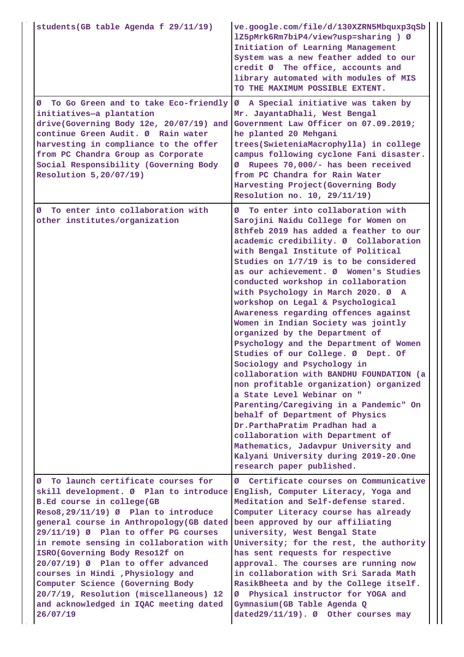| students (GB table Agenda f 29/11/19)                                                                                                                                                                                                                                                                                                                                                                                                                                                                                                | ve.google.com/file/d/130XZRN5Mbquxp3qSb<br>1Z5pMrk6Rm7biP4/view?usp=sharing ) Ø<br>Initiation of Learning Management<br>System was a new feather added to our<br>credit Ø The office, accounts and<br>library automated with modules of MIS<br>TO THE MAXIMUM POSSIBLE EXTENT.                                                                                                                                                                                                                                                                                                                                                                                                                                                                                                                                                                                                                                                                                                                                               |
|--------------------------------------------------------------------------------------------------------------------------------------------------------------------------------------------------------------------------------------------------------------------------------------------------------------------------------------------------------------------------------------------------------------------------------------------------------------------------------------------------------------------------------------|------------------------------------------------------------------------------------------------------------------------------------------------------------------------------------------------------------------------------------------------------------------------------------------------------------------------------------------------------------------------------------------------------------------------------------------------------------------------------------------------------------------------------------------------------------------------------------------------------------------------------------------------------------------------------------------------------------------------------------------------------------------------------------------------------------------------------------------------------------------------------------------------------------------------------------------------------------------------------------------------------------------------------|
| To Go Green and to take Eco-friendly<br>Ø<br>initiatives-a plantation<br>drive(Governing Body 12e, 20/07/19) and<br>continue Green Audit. Ø Rain water<br>harvesting in compliance to the offer<br>from PC Chandra Group as Corporate<br>Social Responsibility (Governing Body<br>Resolution 5,20/07/19)                                                                                                                                                                                                                             | A Special initiative was taken by<br>Ø<br>Mr. JayantaDhali, West Bengal<br>Government Law Officer on 07.09.2019;<br>he planted 20 Mehgani<br>trees(SwieteniaMacrophylla) in college<br>campus following cyclone Fani disaster.<br>Rupees 70,000/- has been received<br>ø<br>from PC Chandra for Rain Water<br>Harvesting Project (Governing Body<br>Resolution no. 10, 29/11/19)                                                                                                                                                                                                                                                                                                                                                                                                                                                                                                                                                                                                                                             |
| To enter into collaboration with<br>Ø<br>other institutes/organization                                                                                                                                                                                                                                                                                                                                                                                                                                                               | To enter into collaboration with<br>Ø<br>Sarojini Naidu College for Women on<br>8thfeb 2019 has added a feather to our<br>academic credibility. Ø Collaboration<br>with Bengal Institute of Political<br>Studies on 1/7/19 is to be considered<br>as our achievement. Ø Women's Studies<br>conducted workshop in collaboration<br>with Psychology in March 2020. Ø A<br>workshop on Legal & Psychological<br>Awareness regarding offences against<br>Women in Indian Society was jointly<br>organized by the Department of<br>Psychology and the Department of Women<br>Studies of our College. Ø Dept. Of<br>Sociology and Psychology in<br>collaboration with BANDHU FOUNDATION (a<br>non profitable organization) organized<br>a State Level Webinar on "<br>Parenting/Caregiving in a Pandemic" On<br>behalf of Department of Physics<br>Dr.ParthaPratim Pradhan had a<br>collaboration with Department of<br>Mathematics, Jadavpur University and<br>Kalyani University during 2019-20.One<br>research paper published. |
| To launch certificate courses for<br>Ø<br>skill development. Ø Plan to introduce<br>B.Ed course in college(GB<br>Reso8,29/11/19) Ø Plan to introduce<br>general course in Anthropology (GB dated<br>29/11/19) Ø Plan to offer PG courses<br>in remote sensing in collaboration with<br>ISRO(Governing Body Resol2f on<br>20/07/19) Ø Plan to offer advanced<br>courses in Hindi , Physiology and<br>Computer Science (Governing Body<br>20/7/19, Resolution (miscellaneous) 12<br>and acknowledged in IQAC meeting dated<br>26/07/19 | Certificate courses on Communicative<br>Ø<br>English, Computer Literacy, Yoga and<br>Meditation and Self-defense stared.<br>Computer Literacy course has already<br>been approved by our affiliating<br>university, West Bengal State<br>University; for the rest, the authority<br>has sent requests for respective<br>approval. The courses are running now<br>in collaboration with Sri Sarada Math<br>RasikBheeta and by the College itself.<br>Physical instructor for YOGA and<br>ø<br>Gymnasium (GB Table Agenda Q<br>dated29/11/19). Ø Other courses may                                                                                                                                                                                                                                                                                                                                                                                                                                                             |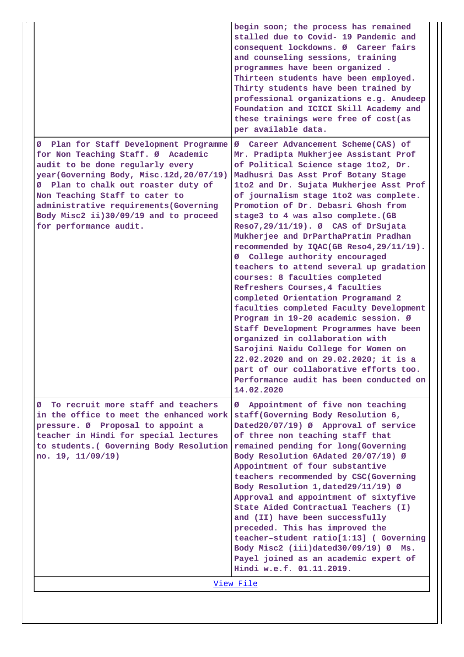|                                                                                                                                                                                                                                                                                                                                                     | begin soon; the process has remained<br>stalled due to Covid- 19 Pandemic and<br>consequent lockdowns. Ø Career fairs<br>and counseling sessions, training<br>programmes have been organized.<br>Thirteen students have been employed.<br>Thirty students have been trained by<br>professional organizations e.g. Anudeep<br>Foundation and ICICI Skill Academy and<br>these trainings were free of cost(as<br>per available data.                                                                                                                                                                                                                                                                                                                                                                                                                                                                                                                                                                        |  |
|-----------------------------------------------------------------------------------------------------------------------------------------------------------------------------------------------------------------------------------------------------------------------------------------------------------------------------------------------------|-----------------------------------------------------------------------------------------------------------------------------------------------------------------------------------------------------------------------------------------------------------------------------------------------------------------------------------------------------------------------------------------------------------------------------------------------------------------------------------------------------------------------------------------------------------------------------------------------------------------------------------------------------------------------------------------------------------------------------------------------------------------------------------------------------------------------------------------------------------------------------------------------------------------------------------------------------------------------------------------------------------|--|
| Ø Plan for Staff Development Programme<br>for Non Teaching Staff. Ø Academic<br>audit to be done regularly every<br>year (Governing Body, Misc.12d, 20/07/19)<br>Ø Plan to chalk out roaster duty of<br>Non Teaching Staff to cater to<br>administrative requirements (Governing<br>Body Misc2 ii)30/09/19 and to proceed<br>for performance audit. | Career Advancement Scheme(CAS) of<br>Ø<br>Mr. Pradipta Mukherjee Assistant Prof<br>of Political Science stage 1to2, Dr.<br>Madhusri Das Asst Prof Botany Stage<br>1to2 and Dr. Sujata Mukherjee Asst Prof<br>of journalism stage 1to2 was complete.<br>Promotion of Dr. Debasri Ghosh from<br>stage3 to 4 was also complete. (GB<br>Reso7, 29/11/19). Ø CAS of DrSujata<br>Mukherjee and DrParthaPratim Pradhan<br>recommended by IQAC(GB Reso4, 29/11/19).<br>College authority encouraged<br>ø<br>teachers to attend several up gradation<br>courses: 8 faculties completed<br>Refreshers Courses, 4 faculties<br>completed Orientation Programand 2<br>faculties completed Faculty Development<br>Program in 19-20 academic session. Ø<br>Staff Development Programmes have been<br>organized in collaboration with<br>Sarojini Naidu College for Women on<br>22.02.2020 and on 29.02.2020; it is a<br>part of our collaborative efforts too.<br>Performance audit has been conducted on<br>14.02.2020 |  |
| To recruit more staff and teachers<br>Ø<br>in the office to meet the enhanced work<br>pressure. Ø Proposal to appoint a<br>teacher in Hindi for special lectures<br>to students. (Governing Body Resolution<br>no. 19, 11/09/19)                                                                                                                    | Appointment of five non teaching<br>ø<br>staff(Governing Body Resolution 6,<br>Dated20/07/19) Ø Approval of service<br>of three non teaching staff that<br>remained pending for long(Governing<br>Body Resolution 6Adated 20/07/19) Ø<br>Appointment of four substantive<br>teachers recommended by CSC(Governing<br>Body Resolution 1, dated 29/11/19) Ø<br>Approval and appointment of sixtyfive<br>State Aided Contractual Teachers (I)<br>and (II) have been successfully<br>preceded. This has improved the<br>teacher-student ratio[1:13] (Governing<br>Body Misc2 (iii)dated30/09/19) Ø Ms.<br>Payel joined as an academic expert of<br>Hindi w.e.f. 01.11.2019.                                                                                                                                                                                                                                                                                                                                   |  |
| <u>View File</u>                                                                                                                                                                                                                                                                                                                                    |                                                                                                                                                                                                                                                                                                                                                                                                                                                                                                                                                                                                                                                                                                                                                                                                                                                                                                                                                                                                           |  |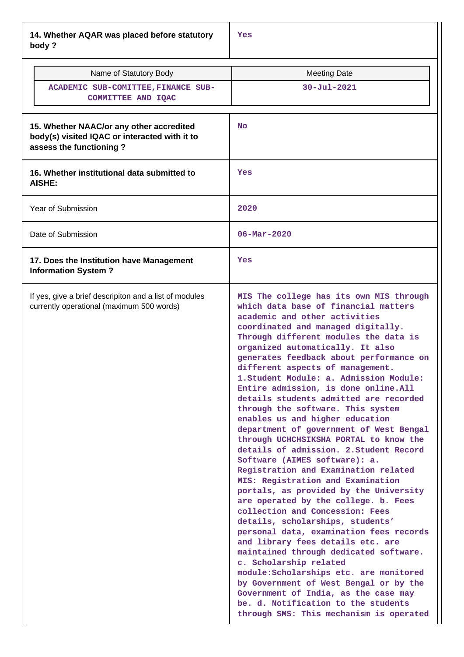**14. Whether AQAR was placed before statutory body ?**

| Name of Statutory Body<br>ACADEMIC SUB-COMITTEE, FINANCE SUB-<br>COMMITTEE AND IQAC                                  | <b>Meeting Date</b><br><b>30-Jul-2021</b>                                                                                                                                                                                                                                                                                                                                                                                                                                                                                                                                                                                                                                                                                                                                                                                                                                                                                                                                                                                                                                                                                                                                                                                                                                                         |
|----------------------------------------------------------------------------------------------------------------------|---------------------------------------------------------------------------------------------------------------------------------------------------------------------------------------------------------------------------------------------------------------------------------------------------------------------------------------------------------------------------------------------------------------------------------------------------------------------------------------------------------------------------------------------------------------------------------------------------------------------------------------------------------------------------------------------------------------------------------------------------------------------------------------------------------------------------------------------------------------------------------------------------------------------------------------------------------------------------------------------------------------------------------------------------------------------------------------------------------------------------------------------------------------------------------------------------------------------------------------------------------------------------------------------------|
| 15. Whether NAAC/or any other accredited<br>body(s) visited IQAC or interacted with it to<br>assess the functioning? | <b>No</b>                                                                                                                                                                                                                                                                                                                                                                                                                                                                                                                                                                                                                                                                                                                                                                                                                                                                                                                                                                                                                                                                                                                                                                                                                                                                                         |
| 16. Whether institutional data submitted to<br>AISHE:                                                                | Yes                                                                                                                                                                                                                                                                                                                                                                                                                                                                                                                                                                                                                                                                                                                                                                                                                                                                                                                                                                                                                                                                                                                                                                                                                                                                                               |
| Year of Submission                                                                                                   | 2020                                                                                                                                                                                                                                                                                                                                                                                                                                                                                                                                                                                                                                                                                                                                                                                                                                                                                                                                                                                                                                                                                                                                                                                                                                                                                              |
| Date of Submission                                                                                                   | $06 - \text{Mar} - 2020$                                                                                                                                                                                                                                                                                                                                                                                                                                                                                                                                                                                                                                                                                                                                                                                                                                                                                                                                                                                                                                                                                                                                                                                                                                                                          |
| 17. Does the Institution have Management<br><b>Information System?</b>                                               | Yes                                                                                                                                                                                                                                                                                                                                                                                                                                                                                                                                                                                                                                                                                                                                                                                                                                                                                                                                                                                                                                                                                                                                                                                                                                                                                               |
| If yes, give a brief descripiton and a list of modules<br>currently operational (maximum 500 words)                  | MIS The college has its own MIS through<br>which data base of financial matters<br>academic and other activities<br>coordinated and managed digitally.<br>Through different modules the data is<br>organized automatically. It also<br>generates feedback about performance on<br>different aspects of management.<br>1. Student Module: a. Admission Module:<br>Entire admission, is done online.All<br>details students admitted are recorded<br>through the software. This system<br>enables us and higher education<br>department of government of West Bengal<br>through UCHCHSIKSHA PORTAL to know the<br>details of admission. 2. Student Record<br>Software (AIMES software): a.<br>Registration and Examination related<br>MIS: Registration and Examination<br>portals, as provided by the University<br>are operated by the college. b. Fees<br>collection and Concession: Fees<br>details, scholarships, students'<br>personal data, examination fees records<br>and library fees details etc. are<br>maintained through dedicated software.<br>c. Scholarship related<br>module: Scholarships etc. are monitored<br>by Government of West Bengal or by the<br>Government of India, as the case may<br>be. d. Notification to the students<br>through SMS: This mechanism is operated |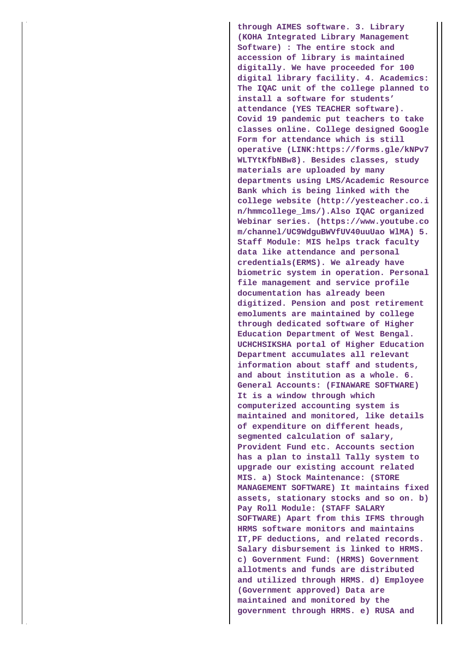**through AIMES software. 3. Library (KOHA Integrated Library Management Software) : The entire stock and accession of library is maintained digitally. We have proceeded for 100 digital library facility. 4. Academics: The IQAC unit of the college planned to install a software for students' attendance (YES TEACHER software). Covid 19 pandemic put teachers to take classes online. College designed Google Form for attendance which is still operative (LINK:https://forms.gle/kNPv7 WLTYtKfbNBw8). Besides classes, study materials are uploaded by many departments using LMS/Academic Resource Bank which is being linked with the college website (http://yesteacher.co.i n/hmmcollege\_lms/).Also IQAC organized Webinar series. (https://www.youtube.co m/channel/UC9WdguBWVfUV40uuUao WlMA) 5. Staff Module: MIS helps track faculty data like attendance and personal credentials(ERMS). We already have biometric system in operation. Personal file management and service profile documentation has already been digitized. Pension and post retirement emoluments are maintained by college through dedicated software of Higher Education Department of West Bengal. UCHCHSIKSHA portal of Higher Education Department accumulates all relevant information about staff and students, and about institution as a whole. 6. General Accounts: (FINAWARE SOFTWARE) It is a window through which computerized accounting system is maintained and monitored, like details of expenditure on different heads, segmented calculation of salary, Provident Fund etc. Accounts section has a plan to install Tally system to upgrade our existing account related MIS. a) Stock Maintenance: (STORE MANAGEMENT SOFTWARE) It maintains fixed assets, stationary stocks and so on. b) Pay Roll Module: (STAFF SALARY SOFTWARE) Apart from this IFMS through HRMS software monitors and maintains IT,PF deductions, and related records. Salary disbursement is linked to HRMS. c) Government Fund: (HRMS) Government allotments and funds are distributed and utilized through HRMS. d) Employee (Government approved) Data are maintained and monitored by the government through HRMS. e) RUSA and**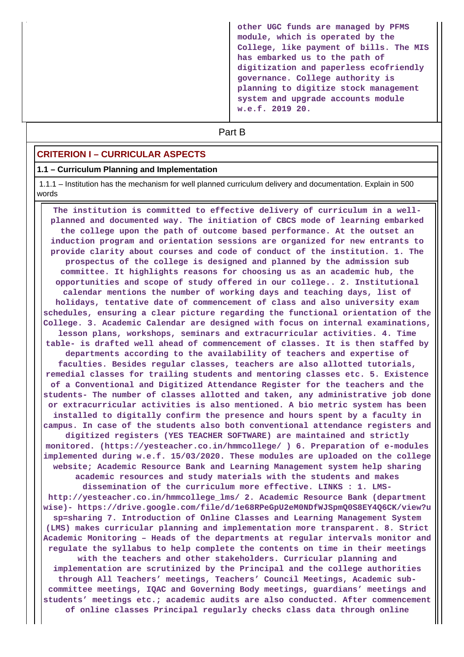**other UGC funds are managed by PFMS module, which is operated by the College, like payment of bills. The MIS has embarked us to the path of digitization and paperless ecofriendly governance. College authority is planning to digitize stock management system and upgrade accounts module w.e.f. 2019 20.**

# **Part B**

#### **CRITERION I – CURRICULAR ASPECTS**

#### **1.1 – Curriculum Planning and Implementation**

 1.1.1 – Institution has the mechanism for well planned curriculum delivery and documentation. Explain in 500 words

 **The institution is committed to effective delivery of curriculum in a wellplanned and documented way. The initiation of CBCS mode of learning embarked the college upon the path of outcome based performance. At the outset an induction program and orientation sessions are organized for new entrants to provide clarity about courses and code of conduct of the institution. 1. The prospectus of the college is designed and planned by the admission sub committee. It highlights reasons for choosing us as an academic hub, the opportunities and scope of study offered in our college.. 2. Institutional calendar mentions the number of working days and teaching days, list of holidays, tentative date of commencement of class and also university exam schedules, ensuring a clear picture regarding the functional orientation of the College. 3. Academic Calendar are designed with focus on internal examinations, lesson plans, workshops, seminars and extracurricular activities. 4. Time table- is drafted well ahead of commencement of classes. It is then staffed by departments according to the availability of teachers and expertise of faculties. Besides regular classes, teachers are also allotted tutorials, remedial classes for trailing students and mentoring classes etc. 5. Existence of a Conventional and Digitized Attendance Register for the teachers and the students- The number of classes allotted and taken, any administrative job done or extracurricular activities is also mentioned. A bio metric system has been installed to digitally confirm the presence and hours spent by a faculty in campus. In case of the students also both conventional attendance registers and digitized registers (YES TEACHER SOFTWARE) are maintained and strictly monitored. (https://yesteacher.co.in/hmmcollege/ ) 6. Preparation of e-modules implemented during w.e.f. 15/03/2020. These modules are uploaded on the college website; Academic Resource Bank and Learning Management system help sharing academic resources and study materials with the students and makes dissemination of the curriculum more effective. LINKS : 1. LMShttp://yesteacher.co.in/hmmcollege\_lms/ 2. Academic Resource Bank (department wise)- https://drive.google.com/file/d/1e68RPeGpU2eM0NDfWJSpmQ0S8EY4Q6CK/view?u sp=sharing 7. Introduction of Online Classes and Learning Management System (LMS) makes curricular planning and implementation more transparent. 8. Strict Academic Monitoring – Heads of the departments at regular intervals monitor and regulate the syllabus to help complete the contents on time in their meetings with the teachers and other stakeholders. Curricular planning and implementation are scrutinized by the Principal and the college authorities through All Teachers' meetings, Teachers' Council Meetings, Academic subcommittee meetings, IQAC and Governing Body meetings, guardians' meetings and students' meetings etc.; academic audits are also conducted. After commencement of online classes Principal regularly checks class data through online**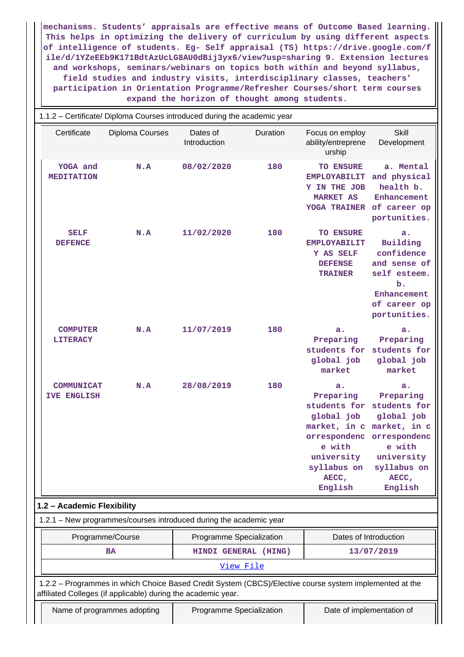**mechanisms. Students' appraisals are effective means of Outcome Based learning. This helps in optimizing the delivery of curriculum by using different aspects of intelligence of students. Eg- Self appraisal (TS) https://drive.google.com/f ile/d/1YZeEEb9K171BdtAzUcLG8AU0dBij3yx6/view?usp=sharing 9. Extension lectures and workshops, seminars/webinars on topics both within and beyond syllabus, field studies and industry visits, interdisciplinary classes, teachers' participation in Orientation Programme/Refresher Courses/short term courses expand the horizon of thought among students.**

|                                         | 1.1.2 - Certificate/ Diploma Courses introduced during the academic year                                                                                                 |                          |                          |                                                                                                                                                                                            |                                                                                                                   |  |  |  |
|-----------------------------------------|--------------------------------------------------------------------------------------------------------------------------------------------------------------------------|--------------------------|--------------------------|--------------------------------------------------------------------------------------------------------------------------------------------------------------------------------------------|-------------------------------------------------------------------------------------------------------------------|--|--|--|
| Certificate                             | <b>Diploma Courses</b>                                                                                                                                                   | Dates of<br>Introduction | Duration                 | Focus on employ<br>ability/entreprene<br>urship                                                                                                                                            | <b>Skill</b><br>Development                                                                                       |  |  |  |
| YOGA and<br><b>MEDITATION</b>           | N.A                                                                                                                                                                      | 08/02/2020               | 180                      | <b>TO ENSURE</b><br><b>EMPLOYABILIT</b><br>Y IN THE JOB<br><b>MARKET AS</b><br><b>YOGA TRAINER</b>                                                                                         | a. Mental<br>and physical<br>health b.<br>Enhancement<br>of career op<br>portunities.                             |  |  |  |
| <b>SELF</b><br><b>DEFENCE</b>           | N.A                                                                                                                                                                      | 11/02/2020               | 180                      | <b>TO ENSURE</b><br><b>EMPLOYABILIT</b><br>Y AS SELF<br><b>DEFENSE</b><br><b>TRAINER</b>                                                                                                   | a.<br>Building<br>confidence<br>and sense of<br>self esteem.<br>b.<br>Enhancement<br>of career op<br>portunities. |  |  |  |
| <b>COMPUTER</b><br><b>LITERACY</b>      | N.A                                                                                                                                                                      | 11/07/2019               | 180                      | a.<br>Preparing<br>students for students for<br>global job<br>market                                                                                                                       | a.<br>Preparing<br>global job<br>market                                                                           |  |  |  |
| <b>COMMUNICAT</b><br><b>IVE ENGLISH</b> | N.A                                                                                                                                                                      | 28/08/2019               | 180                      | a.<br>Preparing<br>students for students for<br>global job<br>market, in c market, in c<br>orrespondenc orrespondenc<br>e with<br>university university<br>syllabus on<br>AECC,<br>English | a.<br>Preparing<br>global job<br>e with<br>syllabus on<br>AECC,<br>English                                        |  |  |  |
| 1.2 - Academic Flexibility              |                                                                                                                                                                          |                          |                          |                                                                                                                                                                                            |                                                                                                                   |  |  |  |
|                                         | 1.2.1 - New programmes/courses introduced during the academic year                                                                                                       |                          |                          |                                                                                                                                                                                            |                                                                                                                   |  |  |  |
|                                         | Programme/Course                                                                                                                                                         |                          | Programme Specialization | Dates of Introduction                                                                                                                                                                      |                                                                                                                   |  |  |  |
|                                         | HINDI GENERAL (HING)<br><b>BA</b><br>13/07/2019<br>View File                                                                                                             |                          |                          |                                                                                                                                                                                            |                                                                                                                   |  |  |  |
|                                         | 1.2.2 - Programmes in which Choice Based Credit System (CBCS)/Elective course system implemented at the<br>affiliated Colleges (if applicable) during the academic year. |                          |                          |                                                                                                                                                                                            |                                                                                                                   |  |  |  |
|                                         | Name of programmes adopting                                                                                                                                              | Programme Specialization |                          | Date of implementation of                                                                                                                                                                  |                                                                                                                   |  |  |  |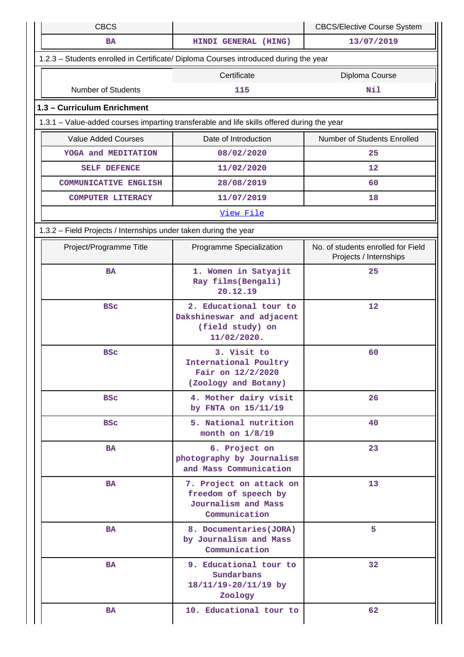| <b>CBCS</b>                                                                                |                                                                                         | <b>CBCS/Elective Course System</b>                           |
|--------------------------------------------------------------------------------------------|-----------------------------------------------------------------------------------------|--------------------------------------------------------------|
| <b>BA</b>                                                                                  | HINDI GENERAL (HING)                                                                    | 13/07/2019                                                   |
| 1.2.3 - Students enrolled in Certificate/ Diploma Courses introduced during the year       |                                                                                         |                                                              |
|                                                                                            | Certificate                                                                             | Diploma Course                                               |
| <b>Number of Students</b>                                                                  | 115                                                                                     | Nil                                                          |
| 1.3 - Curriculum Enrichment                                                                |                                                                                         |                                                              |
| 1.3.1 – Value-added courses imparting transferable and life skills offered during the year |                                                                                         |                                                              |
| <b>Value Added Courses</b>                                                                 | Date of Introduction                                                                    | Number of Students Enrolled                                  |
| YOGA and MEDITATION                                                                        | 08/02/2020                                                                              | 25                                                           |
| SELF DEFENCE                                                                               | 11/02/2020                                                                              | 12                                                           |
| <b>COMMUNICATIVE ENGLISH</b>                                                               | 28/08/2019                                                                              | 60                                                           |
| <b>COMPUTER LITERACY</b>                                                                   | 11/07/2019                                                                              | 18                                                           |
|                                                                                            | View File                                                                               |                                                              |
| 1.3.2 - Field Projects / Internships under taken during the year                           |                                                                                         |                                                              |
| Project/Programme Title                                                                    | Programme Specialization                                                                | No. of students enrolled for Field<br>Projects / Internships |
| <b>BA</b>                                                                                  | 1. Women in Satyajit<br>Ray films (Bengali)<br>20.12.19                                 | 25                                                           |
| <b>BSC</b>                                                                                 | 2. Educational tour to<br>Dakshineswar and adjacent<br>(field study) on<br>11/02/2020.  | 12                                                           |
| <b>BSC</b>                                                                                 | 3. Visit to<br>International Poultry<br>Fair on 12/2/2020<br>(Zoology and Botany)       | 60                                                           |
| <b>BSC</b>                                                                                 | 4. Mother dairy visit<br>by FNTA on 15/11/19                                            | 26                                                           |
| <b>BSC</b>                                                                                 | 5. National nutrition<br>month on $1/8/19$                                              | 40                                                           |
| <b>BA</b>                                                                                  | 6. Project on<br>photography by Journalism<br>and Mass Communication                    | 23                                                           |
| <b>BA</b>                                                                                  | 7. Project on attack on<br>freedom of speech by<br>Journalism and Mass<br>Communication | 13                                                           |
| <b>BA</b>                                                                                  | 8. Documentaries (JORA)<br>by Journalism and Mass<br>Communication                      | 5                                                            |
| <b>BA</b>                                                                                  | 9. Educational tour to<br>Sundarbans<br>18/11/19-20/11/19 by<br>Zoology                 | 32                                                           |
| BA                                                                                         | 10. Educational tour to                                                                 | 62                                                           |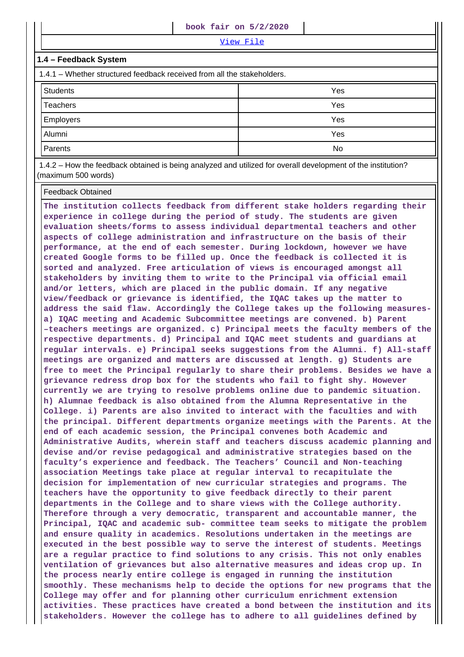View File

#### **1.4 – Feedback System**

1.4.1 – Whether structured feedback received from all the stakeholders.

| <b>Students</b>  | Yes |
|------------------|-----|
| Teachers         | Yes |
| <b>Employers</b> | Yes |
| Alumni           | Yes |
| Parents          | No  |

 1.4.2 – How the feedback obtained is being analyzed and utilized for overall development of the institution? (maximum 500 words)

#### Feedback Obtained

**The institution collects feedback from different stake holders regarding their experience in college during the period of study. The students are given evaluation sheets/forms to assess individual departmental teachers and other aspects of college administration and infrastructure on the basis of their performance, at the end of each semester. During lockdown, however we have created Google forms to be filled up. Once the feedback is collected it is sorted and analyzed. Free articulation of views is encouraged amongst all stakeholders by inviting them to write to the Principal via official email and/or letters, which are placed in the public domain. If any negative view/feedback or grievance is identified, the IQAC takes up the matter to address the said flaw. Accordingly the College takes up the following measuresa) IQAC meeting and Academic Subcommittee meetings are convened. b) Parent –teachers meetings are organized. c) Principal meets the faculty members of the respective departments. d) Principal and IQAC meet students and guardians at regular intervals. e) Principal seeks suggestions from the Alumni. f) All-staff meetings are organized and matters are discussed at length. g) Students are free to meet the Principal regularly to share their problems. Besides we have a grievance redress drop box for the students who fail to fight shy. However currently we are trying to resolve problems online due to pandemic situation. h) Alumnae feedback is also obtained from the Alumna Representative in the College. i) Parents are also invited to interact with the faculties and with the principal. Different departments organize meetings with the Parents. At the end of each academic session, the Principal convenes both Academic and Administrative Audits, wherein staff and teachers discuss academic planning and devise and/or revise pedagogical and administrative strategies based on the faculty's experience and feedback. The Teachers' Council and Non-teaching association Meetings take place at regular interval to recapitulate the decision for implementation of new curricular strategies and programs. The teachers have the opportunity to give feedback directly to their parent departments in the College and to share views with the College authority. Therefore through a very democratic, transparent and accountable manner, the Principal, IQAC and academic sub- committee team seeks to mitigate the problem and ensure quality in academics. Resolutions undertaken in the meetings are executed in the best possible way to serve the interest of students. Meetings are a regular practice to find solutions to any crisis. This not only enables ventilation of grievances but also alternative measures and ideas crop up. In the process nearly entire college is engaged in running the institution smoothly. These mechanisms help to decide the options for new programs that the College may offer and for planning other curriculum enrichment extension activities. These practices have created a bond between the institution and its stakeholders. However the college has to adhere to all guidelines defined by**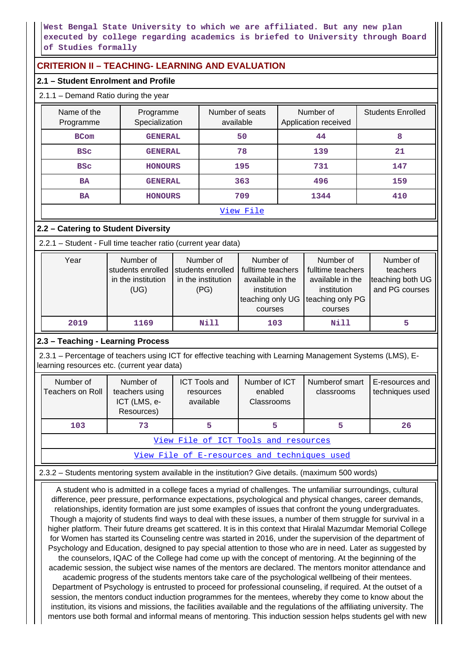**West Bengal State University to which we are affiliated. But any new plan executed by college regarding academics is briefed to University through Board of Studies formally**

## **CRITERION II – TEACHING- LEARNING AND EVALUATION**

#### **2.1 – Student Enrolment and Profile**

| $2.1.1 -$ Demand Ratio during the year |                             |                              |                                   |                          |  |  |  |
|----------------------------------------|-----------------------------|------------------------------|-----------------------------------|--------------------------|--|--|--|
| Name of the<br>Programme               | Programme<br>Specialization | Number of seats<br>available | Number of<br>Application received | <b>Students Enrolled</b> |  |  |  |
| <b>BCom</b>                            | <b>GENERAL</b>              | 50                           | 44                                | 8                        |  |  |  |
| <b>BSC</b>                             | <b>GENERAL</b>              | 78                           | 139                               | 21                       |  |  |  |
| <b>BSC</b>                             | <b>HONOURS</b>              | 195                          | 731                               | 147                      |  |  |  |
| <b>BA</b>                              | <b>GENERAL</b>              | 363                          | 496                               | 159                      |  |  |  |
| <b>BA</b>                              | <b>HONOURS</b>              | 709                          | 1344                              | 410                      |  |  |  |
| View File                              |                             |                              |                                   |                          |  |  |  |

## **2.2 – Catering to Student Diversity**

2.2.1 – Student - Full time teacher ratio (current year data)

| Year | Number of<br>students enrolled students enrolled<br>in the institution<br>(UG) | Number of<br>in the institution<br>(PG) | Number of<br>fulltime teachers<br>available in the<br>institution<br>teaching only UG teaching only PG<br>courses | Number of<br>fulltime teachers<br>available in the<br>institution<br>courses | Number of<br>teachers<br>teaching both UG<br>and PG courses |
|------|--------------------------------------------------------------------------------|-----------------------------------------|-------------------------------------------------------------------------------------------------------------------|------------------------------------------------------------------------------|-------------------------------------------------------------|
| 2019 | 1169                                                                           | Nill                                    | 103                                                                                                               | Nill                                                                         |                                                             |

## **2.3 – Teaching - Learning Process**

 2.3.1 – Percentage of teachers using ICT for effective teaching with Learning Management Systems (LMS), Elearning resources etc. (current year data)

| Number of<br><b>Teachers on Roll</b>         | Number of<br>teachers using<br>ICT (LMS, e-<br>Resources) | <b>ICT Tools and</b><br>resources<br>available | Number of ICT<br>enabled<br>Classrooms | Numberof smart<br>classrooms | E-resources and<br>techniques used |  |  |
|----------------------------------------------|-----------------------------------------------------------|------------------------------------------------|----------------------------------------|------------------------------|------------------------------------|--|--|
| 103<br>73<br>26<br>5<br>5                    |                                                           |                                                |                                        |                              |                                    |  |  |
| View File of ICT Tools and resources         |                                                           |                                                |                                        |                              |                                    |  |  |
| View File of E-resources and techniques used |                                                           |                                                |                                        |                              |                                    |  |  |

2.3.2 – Students mentoring system available in the institution? Give details. (maximum 500 words)

 A student who is admitted in a college faces a myriad of challenges. The unfamiliar surroundings, cultural difference, peer pressure, performance expectations, psychological and physical changes, career demands, relationships, identity formation are just some examples of issues that confront the young undergraduates. Though a majority of students find ways to deal with these issues, a number of them struggle for survival in a higher platform. Their future dreams get scattered. It is in this context that Hiralal Mazumdar Memorial College for Women has started its Counseling centre was started in 2016, under the supervision of the department of Psychology and Education, designed to pay special attention to those who are in need. Later as suggested by the counselors, IQAC of the College had come up with the concept of mentoring. At the beginning of the academic session, the subject wise names of the mentors are declared. The mentors monitor attendance and academic progress of the students mentors take care of the psychological wellbeing of their mentees. Department of Psychology is entrusted to proceed for professional counseling, if required. At the outset of a session, the mentors conduct induction programmes for the mentees, whereby they come to know about the institution, its visions and missions, the facilities available and the regulations of the affiliating university. The

mentors use both formal and informal means of mentoring. This induction session helps students gel with new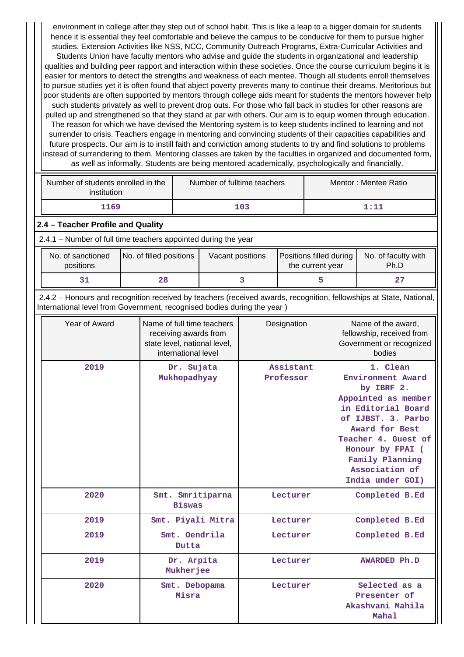environment in college after they step out of school habit. This is like a leap to a bigger domain for students hence it is essential they feel comfortable and believe the campus to be conducive for them to pursue higher studies. Extension Activities like NSS, NCC, Community Outreach Programs, Extra-Curricular Activities and Students Union have faculty mentors who advise and guide the students in organizational and leadership qualities and building peer rapport and interaction within these societies. Once the course curriculum begins it is easier for mentors to detect the strengths and weakness of each mentee. Though all students enroll themselves to pursue studies yet it is often found that abject poverty prevents many to continue their dreams. Meritorious but poor students are often supported by mentors through college aids meant for students the mentors however help such students privately as well to prevent drop outs. For those who fall back in studies for other reasons are pulled up and strengthened so that they stand at par with others. Our aim is to equip women through education. The reason for which we have devised the Mentoring system is to keep students inclined to learning and not surrender to crisis. Teachers engage in mentoring and convincing students of their capacities capabilities and future prospects. Our aim is to instill faith and conviction among students to try and find solutions to problems instead of surrendering to them. Mentoring classes are taken by the faculties in organized and documented form as well as informally. Students are being mentored academically, psychologically and financially.

| Number of students enrolled in the<br>institution              |                                                                                                                                                                                                 | Number of fulltime teachers                                                                                               |                   |     | Mentor: Mentee Ratio                        |   |                                                                                       |                                                                                                                                                                                                                                      |
|----------------------------------------------------------------|-------------------------------------------------------------------------------------------------------------------------------------------------------------------------------------------------|---------------------------------------------------------------------------------------------------------------------------|-------------------|-----|---------------------------------------------|---|---------------------------------------------------------------------------------------|--------------------------------------------------------------------------------------------------------------------------------------------------------------------------------------------------------------------------------------|
| 1169                                                           |                                                                                                                                                                                                 |                                                                                                                           |                   | 103 |                                             |   |                                                                                       | 1:11                                                                                                                                                                                                                                 |
| 2.4 - Teacher Profile and Quality                              |                                                                                                                                                                                                 |                                                                                                                           |                   |     |                                             |   |                                                                                       |                                                                                                                                                                                                                                      |
| 2.4.1 - Number of full time teachers appointed during the year |                                                                                                                                                                                                 |                                                                                                                           |                   |     |                                             |   |                                                                                       |                                                                                                                                                                                                                                      |
| No. of sanctioned<br>positions                                 | No. of filled positions                                                                                                                                                                         |                                                                                                                           | Vacant positions  |     | Positions filled during<br>the current year |   | No. of faculty with<br>Ph.D                                                           |                                                                                                                                                                                                                                      |
| 31                                                             | 28                                                                                                                                                                                              |                                                                                                                           |                   | 3   |                                             | 5 |                                                                                       | 27                                                                                                                                                                                                                                   |
|                                                                | 2.4.2 - Honours and recognition received by teachers (received awards, recognition, fellowships at State, National,<br>International level from Government, recognised bodies during the year ) |                                                                                                                           |                   |     |                                             |   |                                                                                       |                                                                                                                                                                                                                                      |
| Year of Award                                                  |                                                                                                                                                                                                 | Name of full time teachers<br>Designation<br>receiving awards from<br>state level, national level,<br>international level |                   |     |                                             |   | Name of the award,<br>fellowship, received from<br>Government or recognized<br>bodies |                                                                                                                                                                                                                                      |
| 2019                                                           |                                                                                                                                                                                                 | Dr. Sujata                                                                                                                | Mukhopadhyay      |     | Assistant<br>Professor                      |   |                                                                                       | 1. Clean<br>Environment Award<br>by IBRF 2.<br>Appointed as member<br>in Editorial Board<br>of IJBST. 3. Parbo<br>Award for Best<br>Teacher 4. Guest of<br>Honour by FPAI (<br>Family Planning<br>Association of<br>India under GOI) |
| 2020                                                           |                                                                                                                                                                                                 | <b>Biswas</b>                                                                                                             | Smt. Smritiparna  |     | Lecturer                                    |   |                                                                                       | Completed B.Ed                                                                                                                                                                                                                       |
| 2019                                                           |                                                                                                                                                                                                 |                                                                                                                           | Smt. Piyali Mitra |     | Lecturer                                    |   |                                                                                       | Completed B.Ed                                                                                                                                                                                                                       |
| 2019                                                           |                                                                                                                                                                                                 | Dutta                                                                                                                     | Smt. Oendrila     |     | Lecturer                                    |   |                                                                                       | Completed B.Ed                                                                                                                                                                                                                       |
| 2019                                                           | Mukherjee                                                                                                                                                                                       |                                                                                                                           | Dr. Arpita        |     | Lecturer                                    |   |                                                                                       | <b>AWARDED Ph.D</b>                                                                                                                                                                                                                  |
| 2020                                                           |                                                                                                                                                                                                 | Misra                                                                                                                     | Smt. Debopama     |     | Lecturer                                    |   |                                                                                       | Selected as a<br>Presenter of<br>Akashvani Mahila<br>Mahal                                                                                                                                                                           |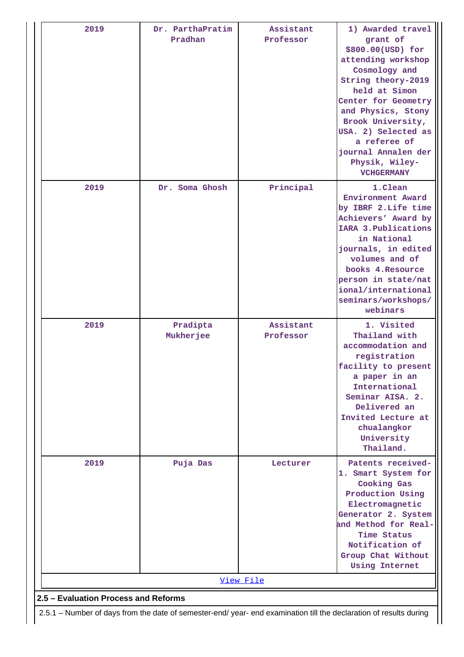| 2019                                                                                                               | Dr. ParthaPratim<br>Pradhan  | Assistant<br>Professor | 1) Awarded travel<br>grant of<br>\$800.00(USD) for<br>attending workshop<br>Cosmology and<br>String theory-2019<br>held at Simon<br>Center for Geometry<br>and Physics, Stony<br>Brook University,<br>USA. 2) Selected as<br>a referee of<br>journal Annalen der<br>Physik, Wiley-<br><b>VCHGERMANY</b> |  |  |  |  |
|--------------------------------------------------------------------------------------------------------------------|------------------------------|------------------------|---------------------------------------------------------------------------------------------------------------------------------------------------------------------------------------------------------------------------------------------------------------------------------------------------------|--|--|--|--|
| 2019                                                                                                               | Dr. Soma Ghosh               | Principal              | 1.Clean<br>Environment Award<br>by IBRF 2. Life time<br>Achievers' Award by<br>IARA 3. Publications<br>in National<br>journals, in edited<br>volumes and of<br>books 4. Resource<br>person in state/nat<br>ional/international<br>seminars/workshops/<br>webinars                                       |  |  |  |  |
| 2019                                                                                                               | Pradipta<br><b>Mukherjee</b> | Assistant<br>Professor | 1. Visited<br>Thailand with<br>accommodation and<br>registration<br>facility to present<br>a paper in an<br>International<br>Seminar AISA. 2.<br>Delivered an<br>Invited Lecture at<br>chualangkor<br>University<br>Thailand.                                                                           |  |  |  |  |
| 2019                                                                                                               | Puja Das                     | Lecturer               | Patents received-<br>1. Smart System for<br>Cooking Gas<br>Production Using<br>Electromagnetic<br>Generator 2. System<br>and Method for Real-<br>Time Status<br>Notification of<br>Group Chat Without<br><b>Using Internet</b>                                                                          |  |  |  |  |
|                                                                                                                    |                              | View File              |                                                                                                                                                                                                                                                                                                         |  |  |  |  |
| 2.5 - Evaluation Process and Reforms                                                                               |                              |                        |                                                                                                                                                                                                                                                                                                         |  |  |  |  |
| 2.5.1 – Number of days from the date of semester-end/ year- end examination till the declaration of results during |                              |                        |                                                                                                                                                                                                                                                                                                         |  |  |  |  |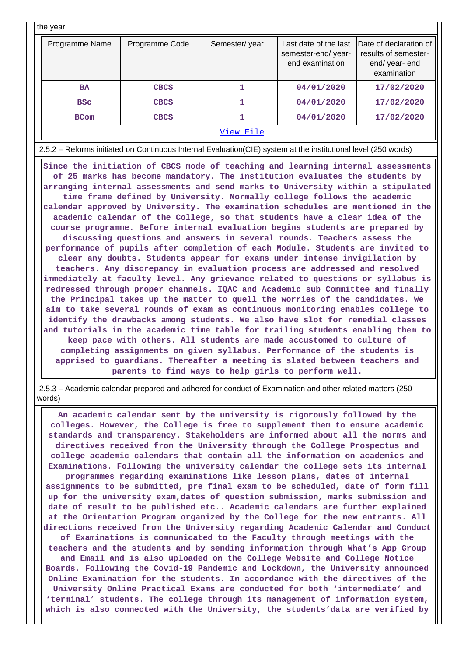| the year |  |  |
|----------|--|--|
|----------|--|--|

| the year                                                                                                                                                                                                                                                                                                                                                                                                                                                                                                                                                                                                                                                                                                                                                                                                                                                                                                                                                                                                                                                                                                                                                                                                                                                                                                                                                                                                                                                                                                                                                                                                                                                                                                                                                                                                                      |                |               |                                                                |                                                                                 |  |  |  |
|-------------------------------------------------------------------------------------------------------------------------------------------------------------------------------------------------------------------------------------------------------------------------------------------------------------------------------------------------------------------------------------------------------------------------------------------------------------------------------------------------------------------------------------------------------------------------------------------------------------------------------------------------------------------------------------------------------------------------------------------------------------------------------------------------------------------------------------------------------------------------------------------------------------------------------------------------------------------------------------------------------------------------------------------------------------------------------------------------------------------------------------------------------------------------------------------------------------------------------------------------------------------------------------------------------------------------------------------------------------------------------------------------------------------------------------------------------------------------------------------------------------------------------------------------------------------------------------------------------------------------------------------------------------------------------------------------------------------------------------------------------------------------------------------------------------------------------|----------------|---------------|----------------------------------------------------------------|---------------------------------------------------------------------------------|--|--|--|
| Programme Name                                                                                                                                                                                                                                                                                                                                                                                                                                                                                                                                                                                                                                                                                                                                                                                                                                                                                                                                                                                                                                                                                                                                                                                                                                                                                                                                                                                                                                                                                                                                                                                                                                                                                                                                                                                                                | Programme Code | Semester/year | Last date of the last<br>semester-end/year-<br>end examination | Date of declaration of<br>results of semester-<br>end/ year- end<br>examination |  |  |  |
| <b>BA</b>                                                                                                                                                                                                                                                                                                                                                                                                                                                                                                                                                                                                                                                                                                                                                                                                                                                                                                                                                                                                                                                                                                                                                                                                                                                                                                                                                                                                                                                                                                                                                                                                                                                                                                                                                                                                                     | <b>CBCS</b>    | 1             | 04/01/2020                                                     | 17/02/2020                                                                      |  |  |  |
| <b>BSC</b>                                                                                                                                                                                                                                                                                                                                                                                                                                                                                                                                                                                                                                                                                                                                                                                                                                                                                                                                                                                                                                                                                                                                                                                                                                                                                                                                                                                                                                                                                                                                                                                                                                                                                                                                                                                                                    | <b>CBCS</b>    | 1             | 04/01/2020                                                     | 17/02/2020                                                                      |  |  |  |
| <b>BCom</b>                                                                                                                                                                                                                                                                                                                                                                                                                                                                                                                                                                                                                                                                                                                                                                                                                                                                                                                                                                                                                                                                                                                                                                                                                                                                                                                                                                                                                                                                                                                                                                                                                                                                                                                                                                                                                   | <b>CBCS</b>    | 1             | 04/01/2020                                                     | 17/02/2020                                                                      |  |  |  |
|                                                                                                                                                                                                                                                                                                                                                                                                                                                                                                                                                                                                                                                                                                                                                                                                                                                                                                                                                                                                                                                                                                                                                                                                                                                                                                                                                                                                                                                                                                                                                                                                                                                                                                                                                                                                                               |                | View File     |                                                                |                                                                                 |  |  |  |
|                                                                                                                                                                                                                                                                                                                                                                                                                                                                                                                                                                                                                                                                                                                                                                                                                                                                                                                                                                                                                                                                                                                                                                                                                                                                                                                                                                                                                                                                                                                                                                                                                                                                                                                                                                                                                               |                |               |                                                                |                                                                                 |  |  |  |
| 2.5.2 - Reforms initiated on Continuous Internal Evaluation(CIE) system at the institutional level (250 words)<br>Since the initiation of CBCS mode of teaching and learning internal assessments<br>of 25 marks has become mandatory. The institution evaluates the students by<br>arranging internal assessments and send marks to University within a stipulated<br>time frame defined by University. Normally college follows the academic<br>calendar approved by University. The examination schedules are mentioned in the<br>academic calendar of the College, so that students have a clear idea of the<br>course programme. Before internal evaluation begins students are prepared by<br>discussing questions and answers in several rounds. Teachers assess the<br>performance of pupils after completion of each Module. Students are invited to<br>clear any doubts. Students appear for exams under intense invigilation by<br>teachers. Any discrepancy in evaluation process are addressed and resolved<br>immediately at faculty level. Any grievance related to questions or syllabus is<br>redressed through proper channels. IQAC and Academic sub Committee and finally<br>the Principal takes up the matter to quell the worries of the candidates. We<br>aim to take several rounds of exam as continuous monitoring enables college to<br>identify the drawbacks among students. We also have slot for remedial classes<br>and tutorials in the academic time table for trailing students enabling them to<br>keep pace with others. All students are made accustomed to culture of<br>completing assignments on given syllabus. Performance of the students is<br>apprised to guardians. Thereafter a meeting is slated between teachers and<br>parents to find ways to help girls to perform well. |                |               |                                                                |                                                                                 |  |  |  |

 2.5.3 – Academic calendar prepared and adhered for conduct of Examination and other related matters (250 words)

 **An academic calendar sent by the university is rigorously followed by the colleges. However, the College is free to supplement them to ensure academic standards and transparency. Stakeholders are informed about all the norms and directives received from the University through the College Prospectus and college academic calendars that contain all the information on academics and Examinations. Following the university calendar the college sets its internal programmes regarding examinations like lesson plans, dates of internal assignments to be submitted, pre final exam to be scheduled, date of form fill up for the university exam,dates of question submission, marks submission and date of result to be published etc.. Academic calendars are further explained at the Orientation Program organized by the College for the new entrants. All directions received from the University regarding Academic Calendar and Conduct of Examinations is communicated to the Faculty through meetings with the teachers and the students and by sending information through What's App Group and Email and is also uploaded on the College Website and College Notice Boards. Following the Covid-19 Pandemic and Lockdown, the University announced Online Examination for the students. In accordance with the directives of the University Online Practical Exams are conducted for both 'intermediate' and**

**'terminal' students. The college through its management of information system, which is also connected with the University, the students'data are verified by**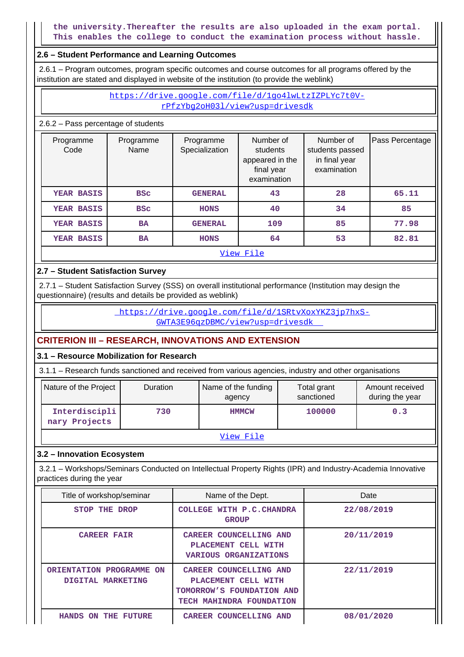**the university.Thereafter the results are also uploaded in the exam portal. This enables the college to conduct the examination process without hassle.**

#### **2.6 – Student Performance and Learning Outcomes**

 2.6.1 – Program outcomes, program specific outcomes and course outcomes for all programs offered by the institution are stated and displayed in website of the institution (to provide the weblink)

#### https://drive.google.com/file/d/1go4lwLtzIZPLYc7t0VrPfzYbg2oH03l/view?usp=drivesdk

2.6.2 – Pass percentage of students

| Programme<br>Code | Programme<br>Name | Programme<br>Specialization | Number of<br>students<br>appeared in the<br>final year<br>examination | Number of<br>students passed<br>in final year<br>examination | Pass Percentage |  |  |
|-------------------|-------------------|-----------------------------|-----------------------------------------------------------------------|--------------------------------------------------------------|-----------------|--|--|
| YEAR BASIS        | <b>BSC</b>        | <b>GENERAL</b>              | 43                                                                    | 28                                                           | 65.11           |  |  |
| YEAR BASIS        | <b>BSC</b>        | <b>HONS</b>                 | 40                                                                    | 34                                                           | 85              |  |  |
| YEAR BASIS        | <b>BA</b>         | <b>GENERAL</b>              | 109                                                                   | 85                                                           | 77.98           |  |  |
| YEAR BASIS        | BA                | <b>HONS</b>                 | 64                                                                    | 53                                                           | 82.81           |  |  |
| View File         |                   |                             |                                                                       |                                                              |                 |  |  |

## **2.7 – Student Satisfaction Survey**

 2.7.1 – Student Satisfaction Survey (SSS) on overall institutional performance (Institution may design the questionnaire) (results and details be provided as weblink)

> https://drive.google.com/file/d/1SRtvXoxYKZ3jp7hxS-GWTA3E96qzDBMC/view?usp=drivesdk

## **CRITERION III – RESEARCH, INNOVATIONS AND EXTENSION**

## **3.1 – Resource Mobilization for Research**

3.1.1 – Research funds sanctioned and received from various agencies, industry and other organisations

| Nature of the Project          | <b>Duration</b> | Name of the funding<br>agency | Total grant<br>sanctioned | Amount received<br>during the year |  |  |
|--------------------------------|-----------------|-------------------------------|---------------------------|------------------------------------|--|--|
| Interdiscipli<br>nary Projects | 730             | <b>HMMCW</b>                  | 100000                    | 0.3                                |  |  |
| ファイン カードコード                    |                 |                               |                           |                                    |  |  |

View File

## **3.2 – Innovation Ecosystem**

 3.2.1 – Workshops/Seminars Conducted on Intellectual Property Rights (IPR) and Industry-Academia Innovative practices during the year

| Title of workshop/seminar                     | Name of the Dept.                                                                                      | Date       |  |  |
|-----------------------------------------------|--------------------------------------------------------------------------------------------------------|------------|--|--|
| STOP THE DROP                                 | COLLEGE WITH P.C. CHANDRA<br><b>GROUP</b>                                                              | 22/08/2019 |  |  |
| <b>CAREER FAIR</b>                            | CAREER COUNCELLING AND<br>PLACEMENT CELL WITH<br><b>VARIOUS ORGANIZATIONS</b>                          | 20/11/2019 |  |  |
| ORIENTATION PROGRAMME ON<br>DIGITAL MARKETING | CAREER COUNCELLING AND<br>PLACEMENT CELL WITH<br>TOMORROW'S FOUNDATION AND<br>TECH MAHINDRA FOUNDATION | 22/11/2019 |  |  |
| THE FUTURE<br><b>HANDS</b><br><b>ON</b>       | CAREER COUNCELLING AND                                                                                 | 08/01/2020 |  |  |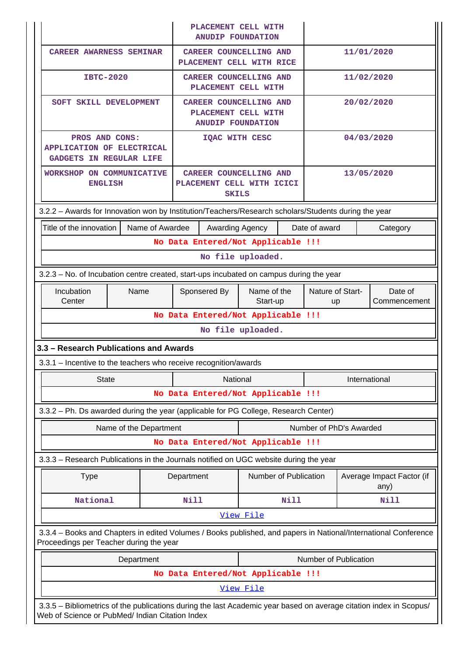|                                                                                                                                                                       |                                                                                         |                 |                                                                   | PLACEMENT CELL WITH<br><b>ANUDIP FOUNDATION</b>                                  |                       |                         |                         |            |                                   |
|-----------------------------------------------------------------------------------------------------------------------------------------------------------------------|-----------------------------------------------------------------------------------------|-----------------|-------------------------------------------------------------------|----------------------------------------------------------------------------------|-----------------------|-------------------------|-------------------------|------------|-----------------------------------|
| <b>CAREER AWARNESS SEMINAR</b>                                                                                                                                        |                                                                                         |                 |                                                                   | <b>CAREER COUNCELLING AND</b><br>PLACEMENT CELL WITH RICE                        |                       |                         |                         |            | 11/01/2020                        |
| <b>IBTC-2020</b>                                                                                                                                                      |                                                                                         |                 |                                                                   | <b>CAREER COUNCELLING AND</b><br>PLACEMENT CELL WITH                             |                       |                         |                         | 11/02/2020 |                                   |
| SOFT SKILL DEVELOPMENT                                                                                                                                                |                                                                                         |                 |                                                                   | <b>CAREER COUNCELLING AND</b><br>PLACEMENT CELL WITH<br><b>ANUDIP FOUNDATION</b> |                       |                         |                         |            | 20/02/2020                        |
| PROS AND CONS:<br><b>APPLICATION OF ELECTRICAL</b><br><b>GADGETS IN REGULAR LIFE</b>                                                                                  |                                                                                         |                 |                                                                   | IQAC WITH CESC                                                                   |                       |                         |                         |            | 04/03/2020                        |
| WORKSHOP ON COMMUNICATIVE<br><b>ENGLISH</b>                                                                                                                           |                                                                                         |                 |                                                                   | CAREER COUNCELLING AND<br>PLACEMENT CELL WITH ICICI<br><b>SKILS</b>              |                       |                         |                         |            | 13/05/2020                        |
| 3.2.2 - Awards for Innovation won by Institution/Teachers/Research scholars/Students during the year                                                                  |                                                                                         |                 |                                                                   |                                                                                  |                       |                         |                         |            |                                   |
| Title of the innovation                                                                                                                                               |                                                                                         | Name of Awardee |                                                                   | Awarding Agency                                                                  |                       |                         | Date of award           |            | Category                          |
|                                                                                                                                                                       |                                                                                         |                 |                                                                   | No Data Entered/Not Applicable !!!                                               |                       |                         |                         |            |                                   |
|                                                                                                                                                                       |                                                                                         |                 |                                                                   | No file uploaded.                                                                |                       |                         |                         |            |                                   |
|                                                                                                                                                                       | 3.2.3 - No. of Incubation centre created, start-ups incubated on campus during the year |                 |                                                                   |                                                                                  |                       |                         |                         |            |                                   |
| Incubation<br>Center                                                                                                                                                  | Name                                                                                    |                 | Name of the<br>Sponsered By<br>Nature of Start-<br>Start-up<br>up |                                                                                  |                       | Date of<br>Commencement |                         |            |                                   |
|                                                                                                                                                                       |                                                                                         |                 |                                                                   | No Data Entered/Not Applicable !!!                                               |                       |                         |                         |            |                                   |
|                                                                                                                                                                       |                                                                                         |                 |                                                                   | No file uploaded.                                                                |                       |                         |                         |            |                                   |
| 3.3 - Research Publications and Awards                                                                                                                                |                                                                                         |                 |                                                                   |                                                                                  |                       |                         |                         |            |                                   |
| 3.3.1 – Incentive to the teachers who receive recognition/awards                                                                                                      |                                                                                         |                 |                                                                   |                                                                                  |                       |                         |                         |            |                                   |
| <b>State</b>                                                                                                                                                          |                                                                                         |                 |                                                                   | National                                                                         |                       |                         |                         |            | International                     |
|                                                                                                                                                                       |                                                                                         |                 |                                                                   | No Data Entered/Not Applicable !!!                                               |                       |                         |                         |            |                                   |
| 3.3.2 - Ph. Ds awarded during the year (applicable for PG College, Research Center)                                                                                   |                                                                                         |                 |                                                                   |                                                                                  |                       |                         |                         |            |                                   |
|                                                                                                                                                                       | Name of the Department                                                                  |                 |                                                                   |                                                                                  |                       |                         | Number of PhD's Awarded |            |                                   |
|                                                                                                                                                                       |                                                                                         |                 |                                                                   | No Data Entered/Not Applicable !!!                                               |                       |                         |                         |            |                                   |
| 3.3.3 – Research Publications in the Journals notified on UGC website during the year                                                                                 |                                                                                         |                 |                                                                   |                                                                                  |                       |                         |                         |            |                                   |
| <b>Type</b>                                                                                                                                                           |                                                                                         |                 | Department                                                        |                                                                                  | Number of Publication |                         |                         |            | Average Impact Factor (if<br>any) |
| National                                                                                                                                                              |                                                                                         |                 | Nill                                                              |                                                                                  |                       | Nill                    |                         |            | Nill                              |
|                                                                                                                                                                       |                                                                                         |                 |                                                                   |                                                                                  | View File             |                         |                         |            |                                   |
| 3.3.4 – Books and Chapters in edited Volumes / Books published, and papers in National/International Conference<br>Proceedings per Teacher during the year            |                                                                                         |                 |                                                                   |                                                                                  |                       |                         |                         |            |                                   |
|                                                                                                                                                                       | Department                                                                              |                 |                                                                   |                                                                                  |                       |                         | Number of Publication   |            |                                   |
|                                                                                                                                                                       |                                                                                         |                 |                                                                   | No Data Entered/Not Applicable !!!                                               |                       |                         |                         |            |                                   |
|                                                                                                                                                                       |                                                                                         |                 |                                                                   |                                                                                  | View File             |                         |                         |            |                                   |
| 3.3.5 - Bibliometrics of the publications during the last Academic year based on average citation index in Scopus/<br>Web of Science or PubMed/ Indian Citation Index |                                                                                         |                 |                                                                   |                                                                                  |                       |                         |                         |            |                                   |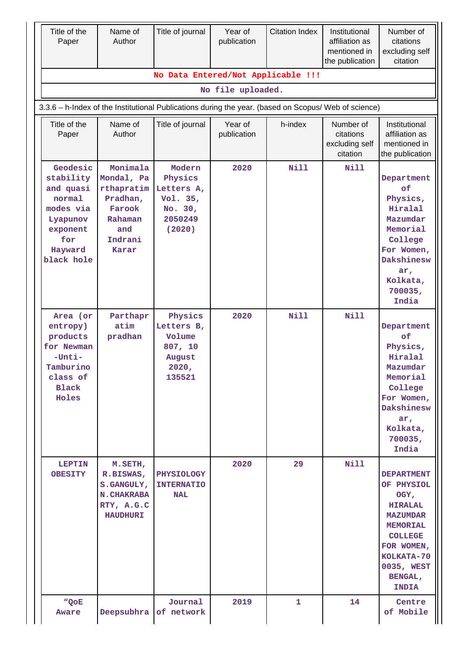| Title of the<br>Paper                                                                                             | Name of<br>Author                                                                                       | Title of journal                                                            | Year of<br>publication | <b>Citation Index</b> | Institutional<br>affiliation as<br>mentioned in<br>the publication | Number of<br>citations<br>excluding self<br>citation                                                                                                                                   |
|-------------------------------------------------------------------------------------------------------------------|---------------------------------------------------------------------------------------------------------|-----------------------------------------------------------------------------|------------------------|-----------------------|--------------------------------------------------------------------|----------------------------------------------------------------------------------------------------------------------------------------------------------------------------------------|
|                                                                                                                   |                                                                                                         | No Data Entered/Not Applicable !!!                                          | No file uploaded.      |                       |                                                                    |                                                                                                                                                                                        |
|                                                                                                                   |                                                                                                         |                                                                             |                        |                       |                                                                    |                                                                                                                                                                                        |
| 3.3.6 - h-Index of the Institutional Publications during the year. (based on Scopus/ Web of science)              |                                                                                                         |                                                                             |                        |                       |                                                                    |                                                                                                                                                                                        |
| Title of the<br>Paper                                                                                             | Name of<br>Author                                                                                       | Title of journal                                                            | Year of<br>publication | h-index               | Number of<br>citations<br>excluding self<br>citation               | Institutional<br>affiliation as<br>mentioned in<br>the publication                                                                                                                     |
| Geodesic<br>stability<br>and quasi<br>normal<br>modes via<br>Lyapunov<br>exponent<br>for<br>Hayward<br>black hole | Monimala<br>Mondal, Pa<br>rthapratim<br>Pradhan,<br>Farook<br>Rahaman<br>and<br>Indrani<br><b>Karar</b> | Modern<br>Physics<br>Letters A,<br>Vol. 35,<br>No. 30,<br>2050249<br>(2020) | 2020                   | Nill                  | <b>Nill</b>                                                        | Department<br>of<br>Physics,<br>Hiralal<br>Mazumdar<br>Memorial<br>College<br>For Women,<br>Dakshinesw<br>ar,<br>Kolkata,<br>700035,<br>India                                          |
| Area (or<br>entropy)<br>products<br>for Newman<br>$-$ Unti $-$<br>Tamburino<br>class of<br><b>Black</b><br>Holes  | Parthapr<br>atim<br>pradhan                                                                             | Physics<br>Letters B,<br>Volume<br>807, 10<br>August<br>2020,<br>135521     | 2020                   | Nill                  | <b>Nill</b>                                                        | Department<br>of<br>Physics,<br>Hiralal<br>Mazumdar<br>Memorial<br>College<br>For Women,<br>Dakshinesw<br>$ar_{l}$<br>Kolkata,<br>700035,<br>India                                     |
| <b>LEPTIN</b><br><b>OBESITY</b>                                                                                   | M.SETH,<br>R.BISWAS,<br>S.GANGULY,<br><b>N. CHAKRABA</b><br>RTY, A.G.C<br><b>HAUDHURI</b>               | <b>PHYSIOLOGY</b><br><b>INTERNATIO</b><br><b>NAL</b>                        | 2020                   | 29                    | <b>Nill</b>                                                        | <b>DEPARTMENT</b><br>OF PHYSIOL<br>OGY,<br><b>HIRALAL</b><br><b>MAZUMDAR</b><br><b>MEMORIAL</b><br><b>COLLEGE</b><br>FOR WOMEN,<br>KOLKATA-70<br>0035, WEST<br>BENGAL,<br><b>INDIA</b> |
| "QoE<br>Aware                                                                                                     | Deepsubhra                                                                                              | Journal<br>of network                                                       | 2019                   | 1                     | 14                                                                 | Centre<br>of Mobile                                                                                                                                                                    |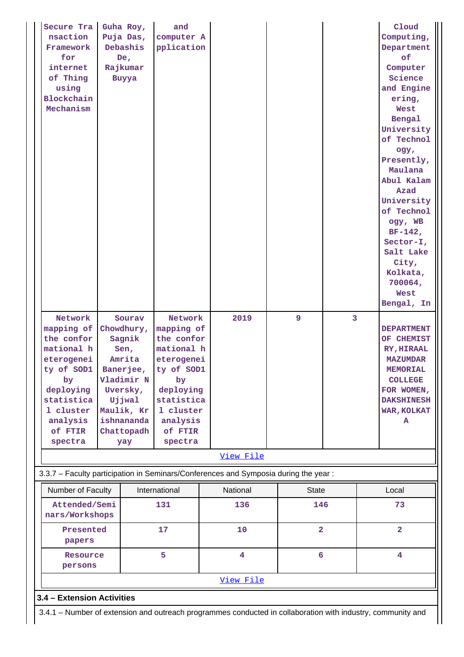| Secure Tra                 | Guha Roy,       | and           |                                                                                                             |                 |   | Cloud             |
|----------------------------|-----------------|---------------|-------------------------------------------------------------------------------------------------------------|-----------------|---|-------------------|
| nsaction                   | Puja Das,       | computer A    |                                                                                                             |                 |   | Computing,        |
| Framework                  | Debashis        | pplication    |                                                                                                             |                 |   | Department        |
| for                        | De <sub>r</sub> |               |                                                                                                             |                 |   | of                |
| internet                   | Rajkumar        |               |                                                                                                             |                 |   | Computer          |
| of Thing                   | Buyya           |               |                                                                                                             |                 |   | Science           |
| using                      |                 |               |                                                                                                             |                 |   | and Engine        |
| Blockchain                 |                 |               |                                                                                                             |                 |   | ering,            |
| Mechanism                  |                 |               |                                                                                                             |                 |   | West              |
|                            |                 |               |                                                                                                             |                 |   | Bengal            |
|                            |                 |               |                                                                                                             |                 |   | University        |
|                            |                 |               |                                                                                                             |                 |   | of Technol        |
|                            |                 |               |                                                                                                             |                 |   | ogy,              |
|                            |                 |               |                                                                                                             |                 |   | Presently,        |
|                            |                 |               |                                                                                                             |                 |   | Maulana           |
|                            |                 |               |                                                                                                             |                 |   | Abul Kalam        |
|                            |                 |               |                                                                                                             |                 |   | Azad              |
|                            |                 |               |                                                                                                             |                 |   | University        |
|                            |                 |               |                                                                                                             |                 |   | of Technol        |
|                            |                 |               |                                                                                                             |                 |   | ogy, WB           |
|                            |                 |               |                                                                                                             |                 |   | $BF-142,$         |
|                            |                 |               |                                                                                                             |                 |   | Sector-I,         |
|                            |                 |               |                                                                                                             |                 |   | Salt Lake         |
|                            |                 |               |                                                                                                             |                 |   | City,             |
|                            |                 |               |                                                                                                             |                 |   | Kolkata,          |
|                            |                 |               |                                                                                                             |                 |   | 700064,           |
|                            |                 |               |                                                                                                             |                 |   | <b>West</b>       |
|                            |                 |               |                                                                                                             |                 |   | Bengal, In        |
|                            |                 |               |                                                                                                             |                 |   |                   |
| Network                    | Sourav          | Network       | 2019                                                                                                        | 9               | 3 |                   |
| mapping of                 | Chowdhury,      | mapping of    |                                                                                                             |                 |   | <b>DEPARTMENT</b> |
| the confor                 | Sagnik          | the confor    |                                                                                                             |                 |   | OF CHEMIST        |
| mational h                 | Sen,            | mational h    |                                                                                                             |                 |   | RY, HIRAAL        |
| eterogenei                 | Amrita          | eterogenei    |                                                                                                             |                 |   | <b>MAZUMDAR</b>   |
| ty of SOD1                 | Banerjee,       | ty of SOD1    |                                                                                                             |                 |   | <b>MEMORIAL</b>   |
| by                         | Vladimir N      | by            |                                                                                                             |                 |   | <b>COLLEGE</b>    |
| deploying                  | Uversky,        | deploying     |                                                                                                             |                 |   | FOR WOMEN,        |
| statistica                 | Ujjwal          | statistica    |                                                                                                             |                 |   | <b>DAKSHINESH</b> |
| 1 cluster                  | Maulik, Kr      | 1 cluster     |                                                                                                             |                 |   | WAR, KOLKAT       |
| analysis                   | ishnananda      | analysis      |                                                                                                             |                 |   | A                 |
| of FTIR                    | Chattopadh      | of FTIR       |                                                                                                             |                 |   |                   |
| spectra                    | yay             | spectra       |                                                                                                             |                 |   |                   |
|                            |                 |               | View File                                                                                                   |                 |   |                   |
|                            |                 |               | 3.3.7 - Faculty participation in Seminars/Conferences and Symposia during the year:                         |                 |   |                   |
| Number of Faculty          |                 | International | National                                                                                                    | <b>State</b>    |   | Local             |
| Attended/Semi              |                 | 131           | 136                                                                                                         | 146             |   | 73                |
| nars/Workshops             |                 |               |                                                                                                             |                 |   |                   |
| Presented                  |                 | 17            | 10                                                                                                          | $\overline{2}$  |   | $\overline{a}$    |
|                            |                 |               |                                                                                                             |                 |   |                   |
|                            |                 |               |                                                                                                             |                 |   |                   |
| papers                     |                 |               |                                                                                                             |                 |   |                   |
| Resource                   |                 | 5             | $\overline{4}$                                                                                              | $6\overline{6}$ |   | 4                 |
| persons                    |                 |               |                                                                                                             |                 |   |                   |
|                            |                 |               | View File                                                                                                   |                 |   |                   |
| 3.4 - Extension Activities |                 |               |                                                                                                             |                 |   |                   |
|                            |                 |               | 3.4.1 - Number of extension and outreach programmes conducted in collaboration with industry, community and |                 |   |                   |

Н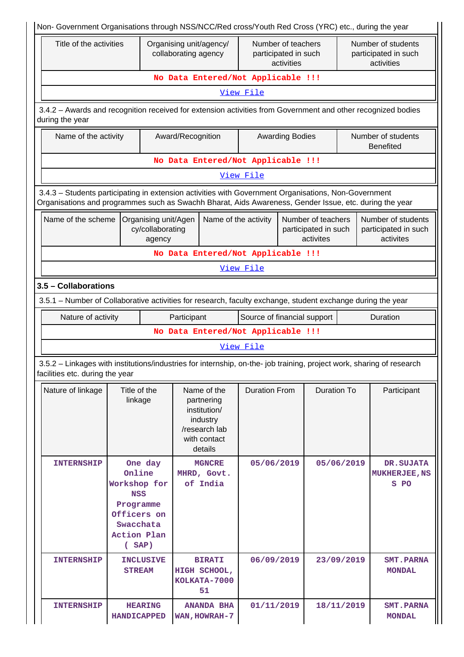| Non- Government Organisations through NSS/NCC/Red cross/Youth Red Cross (YRC) etc., during the year                                                                                                            |                                                                                                             |                                                    |             |                                                                                                   |                                                          |                        |                                                         |                                        |                                                          |  |
|----------------------------------------------------------------------------------------------------------------------------------------------------------------------------------------------------------------|-------------------------------------------------------------------------------------------------------------|----------------------------------------------------|-------------|---------------------------------------------------------------------------------------------------|----------------------------------------------------------|------------------------|---------------------------------------------------------|----------------------------------------|----------------------------------------------------------|--|
|                                                                                                                                                                                                                | Title of the activities<br>Organising unit/agency/<br>collaborating agency                                  |                                                    |             |                                                                                                   | Number of teachers<br>participated in such<br>activities |                        |                                                         |                                        | Number of students<br>participated in such<br>activities |  |
|                                                                                                                                                                                                                |                                                                                                             |                                                    |             |                                                                                                   | No Data Entered/Not Applicable !!!                       |                        |                                                         |                                        |                                                          |  |
|                                                                                                                                                                                                                | View File                                                                                                   |                                                    |             |                                                                                                   |                                                          |                        |                                                         |                                        |                                                          |  |
| 3.4.2 - Awards and recognition received for extension activities from Government and other recognized bodies<br>during the year                                                                                |                                                                                                             |                                                    |             |                                                                                                   |                                                          |                        |                                                         |                                        |                                                          |  |
|                                                                                                                                                                                                                | Name of the activity<br>Award/Recognition                                                                   |                                                    |             |                                                                                                   |                                                          | <b>Awarding Bodies</b> |                                                         | Number of students<br><b>Benefited</b> |                                                          |  |
|                                                                                                                                                                                                                |                                                                                                             |                                                    |             |                                                                                                   | No Data Entered/Not Applicable !!!                       |                        |                                                         |                                        |                                                          |  |
|                                                                                                                                                                                                                |                                                                                                             |                                                    |             |                                                                                                   | View File                                                |                        |                                                         |                                        |                                                          |  |
| 3.4.3 - Students participating in extension activities with Government Organisations, Non-Government<br>Organisations and programmes such as Swachh Bharat, Aids Awareness, Gender Issue, etc. during the year |                                                                                                             |                                                    |             |                                                                                                   |                                                          |                        |                                                         |                                        |                                                          |  |
| Name of the scheme                                                                                                                                                                                             |                                                                                                             | Organising unit/Agen<br>cy/collaborating<br>agency |             | Name of the activity                                                                              |                                                          |                        | Number of teachers<br>participated in such<br>activites |                                        | Number of students<br>participated in such<br>activites  |  |
|                                                                                                                                                                                                                |                                                                                                             |                                                    |             |                                                                                                   | No Data Entered/Not Applicable !!!                       |                        |                                                         |                                        |                                                          |  |
|                                                                                                                                                                                                                |                                                                                                             |                                                    |             |                                                                                                   | View File                                                |                        |                                                         |                                        |                                                          |  |
| 3.5 - Collaborations                                                                                                                                                                                           |                                                                                                             |                                                    |             |                                                                                                   |                                                          |                        |                                                         |                                        |                                                          |  |
|                                                                                                                                                                                                                | 3.5.1 – Number of Collaborative activities for research, faculty exchange, student exchange during the year |                                                    |             |                                                                                                   |                                                          |                        |                                                         |                                        |                                                          |  |
| Nature of activity                                                                                                                                                                                             |                                                                                                             |                                                    | Participant |                                                                                                   | Source of financial support                              |                        |                                                         |                                        | Duration                                                 |  |
|                                                                                                                                                                                                                |                                                                                                             |                                                    |             |                                                                                                   | No Data Entered/Not Applicable !!!                       |                        |                                                         |                                        |                                                          |  |
|                                                                                                                                                                                                                |                                                                                                             |                                                    |             |                                                                                                   | View File                                                |                        |                                                         |                                        |                                                          |  |
| 3.5.2 - Linkages with institutions/industries for internship, on-the- job training, project work, sharing of research<br>facilities etc. during the year                                                       |                                                                                                             |                                                    |             |                                                                                                   |                                                          |                        |                                                         |                                        |                                                          |  |
| Nature of linkage                                                                                                                                                                                              | Title of the<br>linkage                                                                                     |                                                    |             | Name of the<br>partnering<br>institution/<br>industry<br>/research lab<br>with contact<br>details | <b>Duration From</b>                                     |                        | <b>Duration To</b>                                      |                                        | Participant                                              |  |
| <b>INTERNSHIP</b>                                                                                                                                                                                              | Online<br>Workshop for<br><b>NSS</b><br>Programme<br>Action Plan                                            | One day<br>Officers on<br>Swacchata<br>(SAP)       |             | <b>MGNCRE</b><br>MHRD, Govt.<br>of India                                                          | 05/06/2019                                               |                        |                                                         | 05/06/2019                             | DR. SUJATA<br><b>MUKHERJEE, NS</b><br>S PO               |  |
| <b>INTERNSHIP</b>                                                                                                                                                                                              |                                                                                                             | <b>INCLUSIVE</b><br><b>STREAM</b>                  |             | <b>BIRATI</b><br>HIGH SCHOOL,<br>KOLKATA-7000<br>51                                               | 06/09/2019                                               |                        | 23/09/2019                                              |                                        | <b>SMT.PARNA</b><br><b>MONDAL</b>                        |  |
| <b>INTERNSHIP</b>                                                                                                                                                                                              | <b>HANDICAPPED</b>                                                                                          | <b>HEARING</b>                                     |             | <b>ANANDA BHA</b><br>WAN, HOWRAH-7                                                                | 01/11/2019                                               |                        |                                                         | 18/11/2019                             | <b>SMT.PARNA</b><br><b>MONDAL</b>                        |  |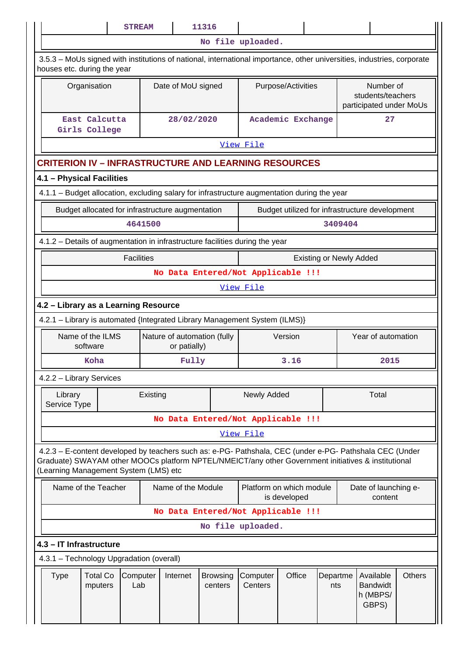|                                                                                                                                                                                                                                                         |                                    | <b>STREAM</b>     |                                             | 11316                      |                                    |                    |                                |                                                           |                                                   |               |
|---------------------------------------------------------------------------------------------------------------------------------------------------------------------------------------------------------------------------------------------------------|------------------------------------|-------------------|---------------------------------------------|----------------------------|------------------------------------|--------------------|--------------------------------|-----------------------------------------------------------|---------------------------------------------------|---------------|
|                                                                                                                                                                                                                                                         |                                    |                   |                                             |                            | No file uploaded.                  |                    |                                |                                                           |                                                   |               |
| 3.5.3 – MoUs signed with institutions of national, international importance, other universities, industries, corporate<br>houses etc. during the year                                                                                                   |                                    |                   |                                             |                            |                                    |                    |                                |                                                           |                                                   |               |
| Organisation                                                                                                                                                                                                                                            |                                    |                   | Date of MoU signed                          |                            |                                    | Purpose/Activities |                                | Number of<br>students/teachers<br>participated under MoUs |                                                   |               |
| East Calcutta<br>Girls College                                                                                                                                                                                                                          |                                    |                   | 28/02/2020                                  |                            | Academic Exchange                  |                    |                                |                                                           | 27                                                |               |
|                                                                                                                                                                                                                                                         |                                    |                   |                                             |                            | View File                          |                    |                                |                                                           |                                                   |               |
| <b>CRITERION IV - INFRASTRUCTURE AND LEARNING RESOURCES</b>                                                                                                                                                                                             |                                    |                   |                                             |                            |                                    |                    |                                |                                                           |                                                   |               |
| 4.1 - Physical Facilities                                                                                                                                                                                                                               |                                    |                   |                                             |                            |                                    |                    |                                |                                                           |                                                   |               |
| 4.1.1 – Budget allocation, excluding salary for infrastructure augmentation during the year                                                                                                                                                             |                                    |                   |                                             |                            |                                    |                    |                                |                                                           |                                                   |               |
| Budget allocated for infrastructure augmentation                                                                                                                                                                                                        |                                    |                   |                                             |                            |                                    |                    |                                |                                                           | Budget utilized for infrastructure development    |               |
|                                                                                                                                                                                                                                                         |                                    | 4641500           |                                             |                            |                                    |                    |                                | 3409404                                                   |                                                   |               |
| 4.1.2 - Details of augmentation in infrastructure facilities during the year                                                                                                                                                                            |                                    |                   |                                             |                            |                                    |                    |                                |                                                           |                                                   |               |
|                                                                                                                                                                                                                                                         |                                    | <b>Facilities</b> |                                             |                            |                                    |                    | <b>Existing or Newly Added</b> |                                                           |                                                   |               |
|                                                                                                                                                                                                                                                         | No Data Entered/Not Applicable !!! |                   |                                             |                            |                                    |                    |                                |                                                           |                                                   |               |
|                                                                                                                                                                                                                                                         |                                    |                   |                                             |                            | View File                          |                    |                                |                                                           |                                                   |               |
| 4.2 - Library as a Learning Resource                                                                                                                                                                                                                    |                                    |                   |                                             |                            |                                    |                    |                                |                                                           |                                                   |               |
| 4.2.1 - Library is automated {Integrated Library Management System (ILMS)}                                                                                                                                                                              |                                    |                   |                                             |                            |                                    |                    |                                |                                                           |                                                   |               |
| Name of the ILMS<br>software                                                                                                                                                                                                                            |                                    |                   | Nature of automation (fully<br>or patially) |                            | Version                            |                    |                                |                                                           | Year of automation                                |               |
| Koha                                                                                                                                                                                                                                                    |                                    |                   | Fully                                       |                            |                                    | 3.16               |                                | 2015                                                      |                                                   |               |
| 4.2.2 - Library Services                                                                                                                                                                                                                                |                                    |                   |                                             |                            |                                    |                    |                                |                                                           |                                                   |               |
| Library<br>Service Type                                                                                                                                                                                                                                 |                                    | Existing          |                                             |                            | Newly Added                        |                    |                                |                                                           | Total                                             |               |
|                                                                                                                                                                                                                                                         |                                    |                   |                                             |                            | No Data Entered/Not Applicable !!! |                    |                                |                                                           |                                                   |               |
|                                                                                                                                                                                                                                                         |                                    |                   |                                             |                            | View File                          |                    |                                |                                                           |                                                   |               |
| 4.2.3 - E-content developed by teachers such as: e-PG- Pathshala, CEC (under e-PG- Pathshala CEC (Under<br>Graduate) SWAYAM other MOOCs platform NPTEL/NMEICT/any other Government initiatives & institutional<br>(Learning Management System (LMS) etc |                                    |                   |                                             |                            |                                    |                    |                                |                                                           |                                                   |               |
| Name of the Teacher                                                                                                                                                                                                                                     |                                    |                   | Name of the Module                          |                            | Platform on which module           | is developed       |                                |                                                           | Date of launching e-<br>content                   |               |
|                                                                                                                                                                                                                                                         |                                    |                   |                                             |                            | No Data Entered/Not Applicable !!! |                    |                                |                                                           |                                                   |               |
|                                                                                                                                                                                                                                                         |                                    |                   |                                             |                            | No file uploaded.                  |                    |                                |                                                           |                                                   |               |
| 4.3 - IT Infrastructure                                                                                                                                                                                                                                 |                                    |                   |                                             |                            |                                    |                    |                                |                                                           |                                                   |               |
| 4.3.1 - Technology Upgradation (overall)                                                                                                                                                                                                                |                                    |                   |                                             |                            |                                    |                    |                                |                                                           |                                                   |               |
| <b>Total Co</b><br><b>Type</b><br>mputers                                                                                                                                                                                                               |                                    | Computer<br>Lab   | Internet                                    | <b>Browsing</b><br>centers | Computer<br>Centers                | Office             | Departme<br>nts                |                                                           | Available<br><b>Bandwidt</b><br>h (MBPS/<br>GBPS) | <b>Others</b> |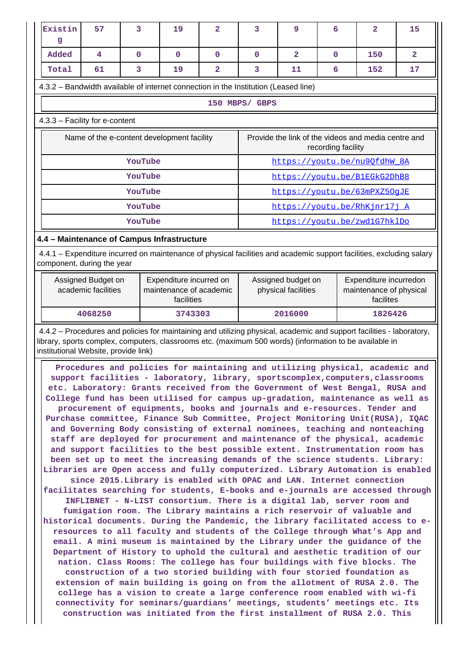| Existin<br>q                                                                                                                                                                                     | 57                                                                                                                                                                                                                                                                       | 3           | 19          | 2                       | 3              | 9                                                                                                           | 6                                                   | 2                                                                                                                                                                                                                                                                                                                                                                                                                                                                                                                                                                                                                                                                                                                                                                                                                                                                                                                                                                                                                                                                                                                                                                                                                                                                                                                                                                                                                                                                                                                                                                                                                                                                                                                                                                                                                                                                                                                                                                                                                                               | 15             |  |  |  |
|--------------------------------------------------------------------------------------------------------------------------------------------------------------------------------------------------|--------------------------------------------------------------------------------------------------------------------------------------------------------------------------------------------------------------------------------------------------------------------------|-------------|-------------|-------------------------|----------------|-------------------------------------------------------------------------------------------------------------|-----------------------------------------------------|-------------------------------------------------------------------------------------------------------------------------------------------------------------------------------------------------------------------------------------------------------------------------------------------------------------------------------------------------------------------------------------------------------------------------------------------------------------------------------------------------------------------------------------------------------------------------------------------------------------------------------------------------------------------------------------------------------------------------------------------------------------------------------------------------------------------------------------------------------------------------------------------------------------------------------------------------------------------------------------------------------------------------------------------------------------------------------------------------------------------------------------------------------------------------------------------------------------------------------------------------------------------------------------------------------------------------------------------------------------------------------------------------------------------------------------------------------------------------------------------------------------------------------------------------------------------------------------------------------------------------------------------------------------------------------------------------------------------------------------------------------------------------------------------------------------------------------------------------------------------------------------------------------------------------------------------------------------------------------------------------------------------------------------------------|----------------|--|--|--|
| Added                                                                                                                                                                                            | 4                                                                                                                                                                                                                                                                        | $\mathbf 0$ | $\mathbf 0$ | $\mathbf{O}$            | $\mathbf 0$    | $\overline{2}$                                                                                              | 0                                                   | 150                                                                                                                                                                                                                                                                                                                                                                                                                                                                                                                                                                                                                                                                                                                                                                                                                                                                                                                                                                                                                                                                                                                                                                                                                                                                                                                                                                                                                                                                                                                                                                                                                                                                                                                                                                                                                                                                                                                                                                                                                                             | $\overline{2}$ |  |  |  |
| Total                                                                                                                                                                                            | 61                                                                                                                                                                                                                                                                       | 3           | 19          | $\overline{\mathbf{2}}$ | 3              | 11                                                                                                          | 6                                                   | 152                                                                                                                                                                                                                                                                                                                                                                                                                                                                                                                                                                                                                                                                                                                                                                                                                                                                                                                                                                                                                                                                                                                                                                                                                                                                                                                                                                                                                                                                                                                                                                                                                                                                                                                                                                                                                                                                                                                                                                                                                                             | 17             |  |  |  |
|                                                                                                                                                                                                  | 4.3.2 - Bandwidth available of internet connection in the Institution (Leased line)                                                                                                                                                                                      |             |             |                         |                |                                                                                                             |                                                     |                                                                                                                                                                                                                                                                                                                                                                                                                                                                                                                                                                                                                                                                                                                                                                                                                                                                                                                                                                                                                                                                                                                                                                                                                                                                                                                                                                                                                                                                                                                                                                                                                                                                                                                                                                                                                                                                                                                                                                                                                                                 |                |  |  |  |
|                                                                                                                                                                                                  |                                                                                                                                                                                                                                                                          |             |             |                         | 150 MBPS/ GBPS |                                                                                                             |                                                     |                                                                                                                                                                                                                                                                                                                                                                                                                                                                                                                                                                                                                                                                                                                                                                                                                                                                                                                                                                                                                                                                                                                                                                                                                                                                                                                                                                                                                                                                                                                                                                                                                                                                                                                                                                                                                                                                                                                                                                                                                                                 |                |  |  |  |
| 4.3.3 - Facility for e-content                                                                                                                                                                   |                                                                                                                                                                                                                                                                          |             |             |                         |                |                                                                                                             |                                                     |                                                                                                                                                                                                                                                                                                                                                                                                                                                                                                                                                                                                                                                                                                                                                                                                                                                                                                                                                                                                                                                                                                                                                                                                                                                                                                                                                                                                                                                                                                                                                                                                                                                                                                                                                                                                                                                                                                                                                                                                                                                 |                |  |  |  |
|                                                                                                                                                                                                  | Name of the e-content development facility                                                                                                                                                                                                                               |             |             |                         |                | recording facility                                                                                          | Provide the link of the videos and media centre and |                                                                                                                                                                                                                                                                                                                                                                                                                                                                                                                                                                                                                                                                                                                                                                                                                                                                                                                                                                                                                                                                                                                                                                                                                                                                                                                                                                                                                                                                                                                                                                                                                                                                                                                                                                                                                                                                                                                                                                                                                                                 |                |  |  |  |
|                                                                                                                                                                                                  |                                                                                                                                                                                                                                                                          | YouTube     |             |                         |                |                                                                                                             |                                                     | https://youtu.be/nu9QfdhW 8A                                                                                                                                                                                                                                                                                                                                                                                                                                                                                                                                                                                                                                                                                                                                                                                                                                                                                                                                                                                                                                                                                                                                                                                                                                                                                                                                                                                                                                                                                                                                                                                                                                                                                                                                                                                                                                                                                                                                                                                                                    |                |  |  |  |
|                                                                                                                                                                                                  |                                                                                                                                                                                                                                                                          | YouTube     |             |                         |                |                                                                                                             |                                                     | https://youtu.be/B1EGkG2DhB8                                                                                                                                                                                                                                                                                                                                                                                                                                                                                                                                                                                                                                                                                                                                                                                                                                                                                                                                                                                                                                                                                                                                                                                                                                                                                                                                                                                                                                                                                                                                                                                                                                                                                                                                                                                                                                                                                                                                                                                                                    |                |  |  |  |
|                                                                                                                                                                                                  |                                                                                                                                                                                                                                                                          | YouTube     |             |                         |                |                                                                                                             |                                                     | https://youtu.be/63mPXZ50qJE                                                                                                                                                                                                                                                                                                                                                                                                                                                                                                                                                                                                                                                                                                                                                                                                                                                                                                                                                                                                                                                                                                                                                                                                                                                                                                                                                                                                                                                                                                                                                                                                                                                                                                                                                                                                                                                                                                                                                                                                                    |                |  |  |  |
|                                                                                                                                                                                                  |                                                                                                                                                                                                                                                                          | YouTube     |             |                         |                |                                                                                                             |                                                     | https://youtu.be/RhKjnr17j A                                                                                                                                                                                                                                                                                                                                                                                                                                                                                                                                                                                                                                                                                                                                                                                                                                                                                                                                                                                                                                                                                                                                                                                                                                                                                                                                                                                                                                                                                                                                                                                                                                                                                                                                                                                                                                                                                                                                                                                                                    |                |  |  |  |
|                                                                                                                                                                                                  |                                                                                                                                                                                                                                                                          | YouTube     |             |                         |                |                                                                                                             |                                                     | https://youtu.be/zwd1G7hklDo                                                                                                                                                                                                                                                                                                                                                                                                                                                                                                                                                                                                                                                                                                                                                                                                                                                                                                                                                                                                                                                                                                                                                                                                                                                                                                                                                                                                                                                                                                                                                                                                                                                                                                                                                                                                                                                                                                                                                                                                                    |                |  |  |  |
| 4.4 - Maintenance of Campus Infrastructure<br>4.4.1 – Expenditure incurred on maintenance of physical facilities and academic support facilities, excluding salary<br>component, during the year |                                                                                                                                                                                                                                                                          |             |             |                         |                |                                                                                                             |                                                     |                                                                                                                                                                                                                                                                                                                                                                                                                                                                                                                                                                                                                                                                                                                                                                                                                                                                                                                                                                                                                                                                                                                                                                                                                                                                                                                                                                                                                                                                                                                                                                                                                                                                                                                                                                                                                                                                                                                                                                                                                                                 |                |  |  |  |
|                                                                                                                                                                                                  | Expenditure incurred on<br>Assigned Budget on<br>academic facilities<br>maintenance of academic<br>facilities                                                                                                                                                            |             |             |                         |                | Expenditure incurredon<br>Assigned budget on<br>physical facilities<br>maintenance of physical<br>facilites |                                                     |                                                                                                                                                                                                                                                                                                                                                                                                                                                                                                                                                                                                                                                                                                                                                                                                                                                                                                                                                                                                                                                                                                                                                                                                                                                                                                                                                                                                                                                                                                                                                                                                                                                                                                                                                                                                                                                                                                                                                                                                                                                 |                |  |  |  |
|                                                                                                                                                                                                  | 4068250                                                                                                                                                                                                                                                                  |             | 3743303     |                         |                | 2016000                                                                                                     |                                                     | 1826426                                                                                                                                                                                                                                                                                                                                                                                                                                                                                                                                                                                                                                                                                                                                                                                                                                                                                                                                                                                                                                                                                                                                                                                                                                                                                                                                                                                                                                                                                                                                                                                                                                                                                                                                                                                                                                                                                                                                                                                                                                         |                |  |  |  |
|                                                                                                                                                                                                  | 4.4.2 - Procedures and policies for maintaining and utilizing physical, academic and support facilities - laboratory,<br>library, sports complex, computers, classrooms etc. (maximum 500 words) (information to be available in<br>institutional Website, provide link) |             |             |                         |                |                                                                                                             |                                                     |                                                                                                                                                                                                                                                                                                                                                                                                                                                                                                                                                                                                                                                                                                                                                                                                                                                                                                                                                                                                                                                                                                                                                                                                                                                                                                                                                                                                                                                                                                                                                                                                                                                                                                                                                                                                                                                                                                                                                                                                                                                 |                |  |  |  |
|                                                                                                                                                                                                  |                                                                                                                                                                                                                                                                          |             |             |                         |                |                                                                                                             |                                                     | Procedures and policies for maintaining and utilizing physical, academic and<br>support facilities - laboratory, library, sportscomplex, computers, classrooms<br>etc. Laboratory: Grants received from the Government of West Bengal, RUSA and<br>College fund has been utilised for campus up-gradation, maintenance as well as<br>procurement of equipments, books and journals and e-resources. Tender and<br>Purchase committee, Finance Sub Committee, Project Monitoring Unit(RUSA), IQAC<br>and Governing Body consisting of external nominees, teaching and nonteaching<br>staff are deployed for procurement and maintenance of the physical, academic<br>and support facilities to the best possible extent. Instrumentation room has<br>been set up to meet the increasing demands of the science students. Library:<br>Libraries are Open access and fully computerized. Library Automation is enabled<br>since 2015. Library is enabled with OPAC and LAN. Internet connection<br>facilitates searching for students, E-books and e-journals are accessed through<br>INFLIBNET - N-LIST consortium. There is a digital lab, server room and<br>fumigation room. The Library maintains a rich reservoir of valuable and<br>historical documents. During the Pandemic, the library facilitated access to e-<br>resources to all faculty and students of the College through What's App and<br>email. A mini museum is maintained by the Library under the guidance of the<br>Department of History to uphold the cultural and aesthetic tradition of our<br>nation. Class Rooms: The college has four buildings with five blocks. The<br>construction of a two storied building with four storied foundation as<br>extension of main building is going on from the allotment of RUSA 2.0. The<br>college has a vision to create a large conference room enabled with wi-fi<br>connectivity for seminars/guardians' meetings, students' meetings etc. Its<br>construction was initiated from the first installment of RUSA 2.0. This |                |  |  |  |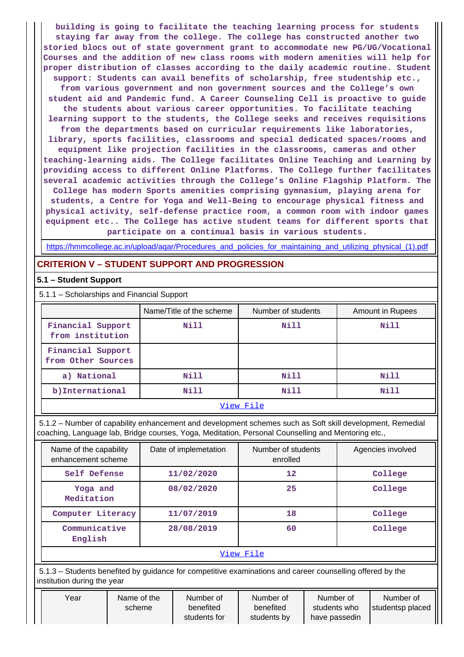**building is going to facilitate the teaching learning process for students staying far away from the college. The college has constructed another two storied blocs out of state government grant to accommodate new PG/UG/Vocational Courses and the addition of new class rooms with modern amenities will help for proper distribution of classes according to the daily academic routine. Student support: Students can avail benefits of scholarship, free studentship etc., from various government and non government sources and the College's own**

**student aid and Pandemic fund. A Career Counseling Cell is proactive to guide the students about various career opportunities. To facilitate teaching learning support to the students, the College seeks and receives requisitions**

**from the departments based on curricular requirements like laboratories, library, sports facilities, classrooms and special dedicated spaces/rooms and equipment like projection facilities in the classrooms, cameras and other teaching-learning aids. The College facilitates Online Teaching and Learning by providing access to different Online Platforms. The College further facilitates several academic activities through the College's Online Flagship Platform. The College has modern Sports amenities comprising gymnasium, playing arena for students, a Centre for Yoga and Well-Being to encourage physical fitness and physical activity, self-defense practice room, a common room with indoor games equipment etc.. The College has active student teams for different sports that participate on a continual basis in various students.**

https://hmmcollege.ac.in/upload/aqar/Procedures\_and\_policies\_for\_maintaining\_and\_utilizing\_physical\_(1).pdf

## **CRITERION V – STUDENT SUPPORT AND PROGRESSION**

## **5.1 – Student Support**

5.1.1 – Scholarships and Financial Support

|                                         | Name/Title of the scheme | Number of students | Amount in Rupees |
|-----------------------------------------|--------------------------|--------------------|------------------|
| Financial Support<br>from institution   | Nill                     | Nill               | Nill             |
| Financial Support<br>from Other Sources |                          |                    |                  |
| a) National                             | Nill                     | Nill               | Nill             |
| b) International                        | Nill                     | Nill               | Nill             |

#### View File

 5.1.2 – Number of capability enhancement and development schemes such as Soft skill development, Remedial coaching, Language lab, Bridge courses, Yoga, Meditation, Personal Counselling and Mentoring etc.,

| Name of the capability<br>enhancement scheme | Date of implemetation | Number of students<br>enrolled | Agencies involved |  |  |  |  |
|----------------------------------------------|-----------------------|--------------------------------|-------------------|--|--|--|--|
| Self Defense                                 | 11/02/2020            | $12 \overline{ }$              | College           |  |  |  |  |
| Yoga and<br>Meditation                       | 08/02/2020            | 25                             | College           |  |  |  |  |
| Computer Literacy                            | 11/07/2019            | 18                             | College           |  |  |  |  |
| Communicative<br>English                     | 28/08/2019            | 60                             | College           |  |  |  |  |
| View File                                    |                       |                                |                   |  |  |  |  |

 5.1.3 – Students benefited by guidance for competitive examinations and career counselling offered by the institution during the year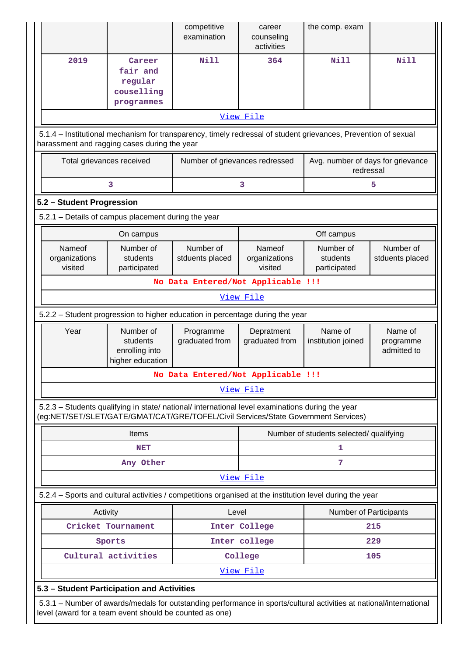|                                                                                                                                                                                        |                                                                                                                                                                                | competitive<br>examination         | career<br>counseling<br>activities                                                                          | the comp. exam                                 |                                     |  |  |  |
|----------------------------------------------------------------------------------------------------------------------------------------------------------------------------------------|--------------------------------------------------------------------------------------------------------------------------------------------------------------------------------|------------------------------------|-------------------------------------------------------------------------------------------------------------|------------------------------------------------|-------------------------------------|--|--|--|
| 2019                                                                                                                                                                                   | Career<br>fair and<br>regular<br>couselling                                                                                                                                    | Nill                               | 364                                                                                                         | <b>Nill</b>                                    | <b>Nill</b>                         |  |  |  |
|                                                                                                                                                                                        | programmes                                                                                                                                                                     |                                    |                                                                                                             |                                                |                                     |  |  |  |
|                                                                                                                                                                                        |                                                                                                                                                                                |                                    | View File                                                                                                   |                                                |                                     |  |  |  |
| 5.1.4 – Institutional mechanism for transparency, timely redressal of student grievances, Prevention of sexual<br>harassment and ragging cases during the year                         |                                                                                                                                                                                |                                    |                                                                                                             |                                                |                                     |  |  |  |
| Total grievances received                                                                                                                                                              |                                                                                                                                                                                | Number of grievances redressed     |                                                                                                             | Avg. number of days for grievance<br>redressal |                                     |  |  |  |
|                                                                                                                                                                                        | 3                                                                                                                                                                              |                                    | 3                                                                                                           |                                                | 5                                   |  |  |  |
| 5.2 - Student Progression                                                                                                                                                              |                                                                                                                                                                                |                                    |                                                                                                             |                                                |                                     |  |  |  |
| 5.2.1 - Details of campus placement during the year                                                                                                                                    |                                                                                                                                                                                |                                    |                                                                                                             |                                                |                                     |  |  |  |
|                                                                                                                                                                                        | On campus                                                                                                                                                                      |                                    |                                                                                                             | Off campus                                     |                                     |  |  |  |
| Nameof<br>organizations<br>visited                                                                                                                                                     | Number of<br>students<br>participated                                                                                                                                          | Number of<br>stduents placed       | Number of<br>Nameof<br>Number of<br>organizations<br>students<br>stduents placed<br>visited<br>participated |                                                |                                     |  |  |  |
|                                                                                                                                                                                        |                                                                                                                                                                                | No Data Entered/Not Applicable !!! |                                                                                                             |                                                |                                     |  |  |  |
|                                                                                                                                                                                        |                                                                                                                                                                                |                                    | View File                                                                                                   |                                                |                                     |  |  |  |
| 5.2.2 - Student progression to higher education in percentage during the year                                                                                                          |                                                                                                                                                                                |                                    |                                                                                                             |                                                |                                     |  |  |  |
| Year                                                                                                                                                                                   | Number of<br>students<br>enrolling into<br>higher education                                                                                                                    | Programme<br>graduated from        | Depratment<br>graduated from                                                                                | Name of<br>institution joined                  | Name of<br>programme<br>admitted to |  |  |  |
|                                                                                                                                                                                        |                                                                                                                                                                                | No Data Entered/Not Applicable !!! |                                                                                                             |                                                |                                     |  |  |  |
|                                                                                                                                                                                        |                                                                                                                                                                                |                                    | View File                                                                                                   |                                                |                                     |  |  |  |
| 5.2.3 - Students qualifying in state/ national/ international level examinations during the year<br>(eg:NET/SET/SLET/GATE/GMAT/CAT/GRE/TOFEL/Civil Services/State Government Services) |                                                                                                                                                                                |                                    |                                                                                                             |                                                |                                     |  |  |  |
|                                                                                                                                                                                        | Items                                                                                                                                                                          |                                    |                                                                                                             | Number of students selected/ qualifying        |                                     |  |  |  |
|                                                                                                                                                                                        | <b>NET</b>                                                                                                                                                                     |                                    |                                                                                                             | 1                                              |                                     |  |  |  |
|                                                                                                                                                                                        | Any Other                                                                                                                                                                      |                                    |                                                                                                             | 7                                              |                                     |  |  |  |
|                                                                                                                                                                                        |                                                                                                                                                                                |                                    | View File                                                                                                   |                                                |                                     |  |  |  |
| 5.2.4 - Sports and cultural activities / competitions organised at the institution level during the year                                                                               |                                                                                                                                                                                |                                    |                                                                                                             |                                                |                                     |  |  |  |
| Activity                                                                                                                                                                               |                                                                                                                                                                                | Level                              |                                                                                                             | Number of Participants                         |                                     |  |  |  |
|                                                                                                                                                                                        | Cricket Tournament                                                                                                                                                             |                                    | Inter College                                                                                               |                                                | 215                                 |  |  |  |
|                                                                                                                                                                                        | Sports                                                                                                                                                                         |                                    | Inter college                                                                                               |                                                | 229                                 |  |  |  |
|                                                                                                                                                                                        | Cultural activities                                                                                                                                                            |                                    | College                                                                                                     |                                                | 105                                 |  |  |  |
|                                                                                                                                                                                        |                                                                                                                                                                                |                                    | <u>View File</u>                                                                                            |                                                |                                     |  |  |  |
| 5.3 - Student Participation and Activities                                                                                                                                             |                                                                                                                                                                                |                                    |                                                                                                             |                                                |                                     |  |  |  |
|                                                                                                                                                                                        | 5.3.1 – Number of awards/medals for outstanding performance in sports/cultural activities at national/international<br>level (award for a team event should be counted as one) |                                    |                                                                                                             |                                                |                                     |  |  |  |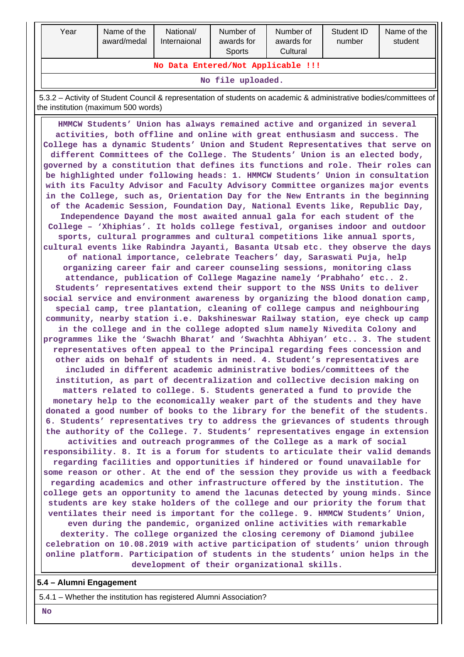| Year                               | Name of the<br>award/medal | National/<br>Internaional | Number of<br>awards for<br><b>Sports</b> | Number of<br>awards for<br>Cultural | Student ID<br>number | Name of the<br>student |  |  |  |
|------------------------------------|----------------------------|---------------------------|------------------------------------------|-------------------------------------|----------------------|------------------------|--|--|--|
| No Data Entered/Not Applicable !!! |                            |                           |                                          |                                     |                      |                        |  |  |  |
| No file uploaded.                  |                            |                           |                                          |                                     |                      |                        |  |  |  |

 5.3.2 – Activity of Student Council & representation of students on academic & administrative bodies/committees of the institution (maximum 500 words)

 **HMMCW Students' Union has always remained active and organized in several activities, both offline and online with great enthusiasm and success. The College has a dynamic Students' Union and Student Representatives that serve on different Committees of the College. The Students' Union is an elected body, governed by a constitution that defines its functions and role. Their roles can be highlighted under following heads: 1. HMMCW Students' Union in consultation with its Faculty Advisor and Faculty Advisory Committee organizes major events in the College, such as, Orientation Day for the New Entrants in the beginning of the Academic Session, Foundation Day, National Events like, Republic Day, Independence Dayand the most awaited annual gala for each student of the College – 'Xhiphias'. It holds college festival, organises indoor and outdoor sports, cultural programmes and cultural competitions like annual sports, cultural events like Rabindra Jayanti, Basanta Utsab etc. they observe the days of national importance, celebrate Teachers' day, Saraswati Puja, help organizing career fair and career counseling sessions, monitoring class attendance, publication of College Magazine namely 'Prabhaho' etc.. 2. Students' representatives extend their support to the NSS Units to deliver social service and environment awareness by organizing the blood donation camp, special camp, tree plantation, cleaning of college campus and neighbouring community, nearby station i.e. Dakshineswar Railway station, eye check up camp in the college and in the college adopted slum namely Nivedita Colony and programmes like the 'Swachh Bharat' and 'Swachhta Abhiyan' etc.. 3. The student representatives often appeal to the Principal regarding fees concession and other aids on behalf of students in need. 4. Student's representatives are included in different academic administrative bodies/committees of the institution, as part of decentralization and collective decision making on matters related to college. 5. Students generated a fund to provide the monetary help to the economically weaker part of the students and they have donated a good number of books to the library for the benefit of the students. 6. Students' representatives try to address the grievances of students through the authority of the College. 7. Students' representatives engage in extension activities and outreach programmes of the College as a mark of social responsibility. 8. It is a forum for students to articulate their valid demands regarding facilities and opportunities if hindered or found unavailable for some reason or other. At the end of the session they provide us with a feedback regarding academics and other infrastructure offered by the institution. The college gets an opportunity to amend the lacunas detected by young minds. Since students are key stake holders of the college and our priority the forum that ventilates their need is important for the college. 9. HMMCW Students' Union, even during the pandemic, organized online activities with remarkable dexterity. The college organized the closing ceremony of Diamond jubilee celebration on 10.08.2019 with active participation of students' union through online platform. Participation of students in the students' union helps in the development of their organizational skills.**

**5.4 – Alumni Engagement**

5.4.1 – Whether the institution has registered Alumni Association?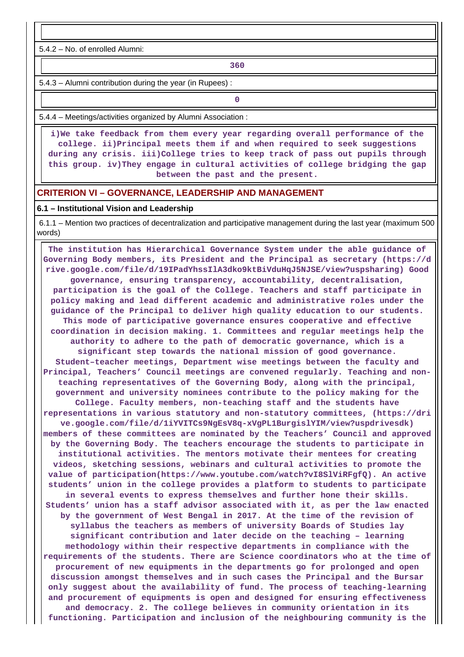5.4.2 – No. of enrolled Alumni:

**1 360** 

5.4.3 – Alumni contribution during the year (in Rupees) :

**0**

5.4.4 – Meetings/activities organized by Alumni Association :

 **i)We take feedback from them every year regarding overall performance of the college. ii)Principal meets them if and when required to seek suggestions during any crisis. iii)College tries to keep track of pass out pupils through this group. iv)They engage in cultural activities of college bridging the gap between the past and the present.**

#### **CRITERION VI – GOVERNANCE, LEADERSHIP AND MANAGEMENT**

#### **6.1 – Institutional Vision and Leadership**

 6.1.1 – Mention two practices of decentralization and participative management during the last year (maximum 500 words)

 **The institution has Hierarchical Governance System under the able guidance of Governing Body members, its President and the Principal as secretary (https://d rive.google.com/file/d/19IPadYhssIlA3dko9ktBiVduHqJ5NJSE/view?uspsharing) Good governance, ensuring transparency, accountability, decentralisation, participation is the goal of the College. Teachers and staff participate in policy making and lead different academic and administrative roles under the guidance of the Principal to deliver high quality education to our students. This mode of participative governance ensures cooperative and effective coordination in decision making. 1. Committees and regular meetings help the authority to adhere to the path of democratic governance, which is a significant step towards the national mission of good governance. Student–teacher meetings, Department wise meetings between the faculty and Principal, Teachers' Council meetings are convened regularly. Teaching and nonteaching representatives of the Governing Body, along with the principal, government and university nominees contribute to the policy making for the College. Faculty members, non-teaching staff and the students have representations in various statutory and non-statutory committees, (https://dri ve.google.com/file/d/1iYVITCs9NgEsV8q-xVgPL1BurgislYIM/view?uspdrivesdk) members of these committees are nominated by the Teachers' Council and approved by the Governing Body. The teachers encourage the students to participate in institutional activities. The mentors motivate their mentees for creating videos, sketching sessions, webinars and cultural activities to promote the value of participation(https://www.youtube.com/watch?vI8SlViRFgfQ). An active students' union in the college provides a platform to students to participate in several events to express themselves and further hone their skills. Students' union has a staff advisor associated with it, as per the law enacted by the government of West Bengal in 2017. At the time of the revision of syllabus the teachers as members of university Boards of Studies lay significant contribution and later decide on the teaching – learning methodology within their respective departments in compliance with the requirements of the students. There are Science coordinators who at the time of procurement of new equipments in the departments go for prolonged and open discussion amongst themselves and in such cases the Principal and the Bursar only suggest about the availability of fund. The process of teaching-learning and procurement of equipments is open and designed for ensuring effectiveness and democracy. 2. The college believes in community orientation in its functioning. Participation and inclusion of the neighbouring community is the**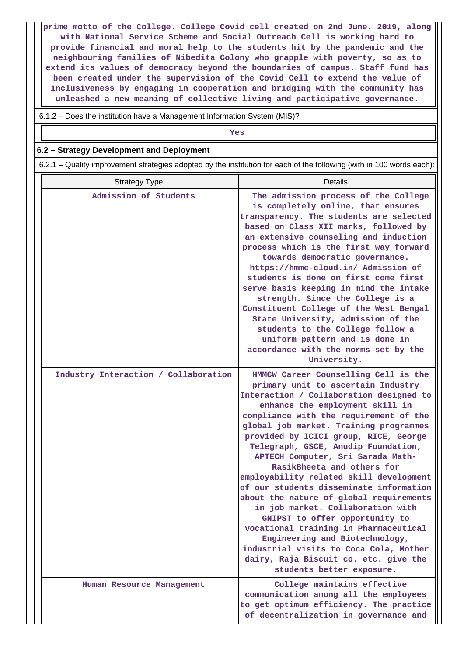**prime motto of the College. College Covid cell created on 2nd June. 2019, along with National Service Scheme and Social Outreach Cell is working hard to provide financial and moral help to the students hit by the pandemic and the neighbouring families of Nibedita Colony who grapple with poverty, so as to extend its values of democracy beyond the boundaries of campus. Staff fund has been created under the supervision of the Covid Cell to extend the value of inclusiveness by engaging in cooperation and bridging with the community has unleashed a new meaning of collective living and participative governance.**

6.1.2 – Does the institution have a Management Information System (MIS)?

| Yes                                                                                                                   |                                                                                                                                                                                                                                                                                                                                                                                                                                                                                                                                                                                                                                                                                                                                                                                                    |  |  |  |  |  |
|-----------------------------------------------------------------------------------------------------------------------|----------------------------------------------------------------------------------------------------------------------------------------------------------------------------------------------------------------------------------------------------------------------------------------------------------------------------------------------------------------------------------------------------------------------------------------------------------------------------------------------------------------------------------------------------------------------------------------------------------------------------------------------------------------------------------------------------------------------------------------------------------------------------------------------------|--|--|--|--|--|
| 6.2 - Strategy Development and Deployment                                                                             |                                                                                                                                                                                                                                                                                                                                                                                                                                                                                                                                                                                                                                                                                                                                                                                                    |  |  |  |  |  |
| 6.2.1 – Quality improvement strategies adopted by the institution for each of the following (with in 100 words each): |                                                                                                                                                                                                                                                                                                                                                                                                                                                                                                                                                                                                                                                                                                                                                                                                    |  |  |  |  |  |
| <b>Strategy Type</b>                                                                                                  | <b>Details</b>                                                                                                                                                                                                                                                                                                                                                                                                                                                                                                                                                                                                                                                                                                                                                                                     |  |  |  |  |  |
| Admission of Students                                                                                                 | The admission process of the College<br>is completely online, that ensures<br>transparency. The students are selected<br>based on Class XII marks, followed by<br>an extensive counseling and induction<br>process which is the first way forward<br>towards democratic governance.<br>https://hmmc-cloud.in/ Admission of<br>students is done on first come first<br>serve basis keeping in mind the intake<br>strength. Since the College is a<br>Constituent College of the West Bengal<br>State University, admission of the<br>students to the College follow a<br>uniform pattern and is done in<br>accordance with the norms set by the<br>University.                                                                                                                                      |  |  |  |  |  |
| Industry Interaction / Collaboration                                                                                  | HMMCW Career Counselling Cell is the<br>primary unit to ascertain Industry<br>Interaction / Collaboration designed to<br>enhance the employment skill in<br>compliance with the requirement of the<br>global job market. Training programmes<br>provided by ICICI group, RICE, George<br>Telegraph, GSCE, Anudip Foundation,<br>APTECH Computer, Sri Sarada Math-<br>RasikBheeta and others for<br>employability related skill development<br>of our students disseminate information<br>about the nature of global requirements<br>in job market. Collaboration with<br>GNIPST to offer opportunity to<br>vocational training in Pharmaceutical<br>Engineering and Biotechnology,<br>industrial visits to Coca Cola, Mother<br>dairy, Raja Biscuit co. etc. give the<br>students better exposure. |  |  |  |  |  |
| Human Resource Management                                                                                             | College maintains effective<br>communication among all the employees                                                                                                                                                                                                                                                                                                                                                                                                                                                                                                                                                                                                                                                                                                                               |  |  |  |  |  |

**to get optimum efficiency. The practice of decentralization in governance and**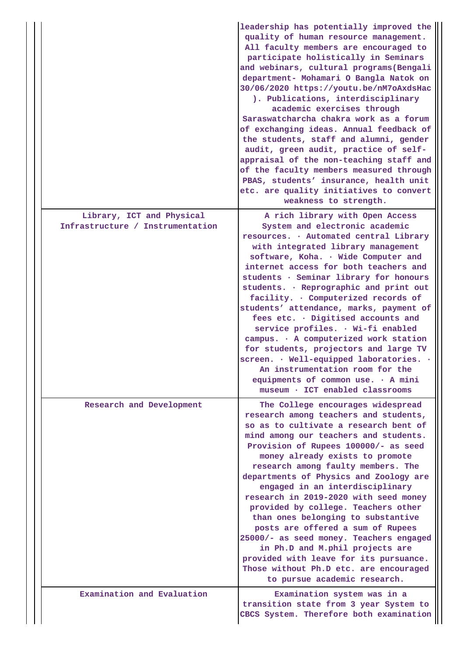|                                                               | leadership has potentially improved the<br>quality of human resource management.<br>All faculty members are encouraged to<br>participate holistically in Seminars<br>and webinars, cultural programs (Bengali<br>department- Mohamari O Bangla Natok on<br>30/06/2020 https://youtu.be/nM7oAxdsHac<br>). Publications, interdisciplinary<br>academic exercises through<br>Saraswatcharcha chakra work as a forum<br>of exchanging ideas. Annual feedback of<br>the students, staff and alumni, gender<br>audit, green audit, practice of self-<br>appraisal of the non-teaching staff and<br>of the faculty members measured through<br>PBAS, students' insurance, health unit<br>etc. are quality initiatives to convert<br>weakness to strength. |
|---------------------------------------------------------------|----------------------------------------------------------------------------------------------------------------------------------------------------------------------------------------------------------------------------------------------------------------------------------------------------------------------------------------------------------------------------------------------------------------------------------------------------------------------------------------------------------------------------------------------------------------------------------------------------------------------------------------------------------------------------------------------------------------------------------------------------|
| Library, ICT and Physical<br>Infrastructure / Instrumentation | A rich library with Open Access<br>System and electronic academic<br>resources. . Automated central Library<br>with integrated library management<br>software, Koha. . Wide Computer and<br>internet access for both teachers and<br>students · Seminar library for honours<br>students. . Reprographic and print out<br>facility. . Computerized records of<br>students' attendance, marks, payment of<br>fees etc. . Digitised accounts and<br>service profiles. . Wi-fi enabled<br>campus. . A computerized work station<br>for students, projectors and large TV<br>screen. · Well-equipped laboratories. ·<br>An instrumentation room for the<br>equipments of common use. $\cdot$ A mini<br>museum · ICT enabled classrooms                  |
| Research and Development                                      | The College encourages widespread<br>research among teachers and students,<br>so as to cultivate a research bent of<br>mind among our teachers and students.<br>Provision of Rupees 100000/- as seed<br>money already exists to promote<br>research among faulty members. The<br>departments of Physics and Zoology are<br>engaged in an interdisciplinary<br>research in 2019-2020 with seed money<br>provided by college. Teachers other<br>than ones belonging to substantive<br>posts are offered a sum of Rupees<br>25000/- as seed money. Teachers engaged<br>in Ph.D and M.phil projects are<br>provided with leave for its pursuance.<br>Those without Ph.D etc. are encouraged<br>to pursue academic research.                            |
| Examination and Evaluation                                    | Examination system was in a<br>transition state from 3 year System to<br>CBCS System. Therefore both examination                                                                                                                                                                                                                                                                                                                                                                                                                                                                                                                                                                                                                                   |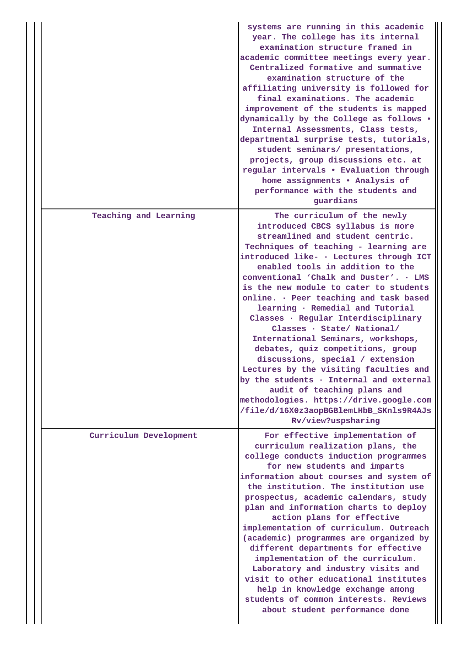|                        | systems are running in this academic<br>year. The college has its internal<br>examination structure framed in<br>academic committee meetings every year.<br>Centralized formative and summative<br>examination structure of the<br>affiliating university is followed for<br>final examinations. The academic<br>improvement of the students is mapped<br>dynamically by the College as follows .<br>Internal Assessments, Class tests,<br>departmental surprise tests, tutorials,<br>student seminars/ presentations,<br>projects, group discussions etc. at<br>regular intervals . Evaluation through<br>home assignments . Analysis of<br>performance with the students and<br>guardians                                                                                                                       |
|------------------------|-------------------------------------------------------------------------------------------------------------------------------------------------------------------------------------------------------------------------------------------------------------------------------------------------------------------------------------------------------------------------------------------------------------------------------------------------------------------------------------------------------------------------------------------------------------------------------------------------------------------------------------------------------------------------------------------------------------------------------------------------------------------------------------------------------------------|
| Teaching and Learning  | The curriculum of the newly<br>introduced CBCS syllabus is more<br>streamlined and student centric.<br>Techniques of teaching - learning are<br>introduced like- · Lectures through ICT<br>enabled tools in addition to the<br>conventional 'Chalk and Duster'. . LMS<br>is the new module to cater to students<br>online. · Peer teaching and task based<br>learning · Remedial and Tutorial<br>Classes · Regular Interdisciplinary<br>Classes · State/ National/<br>International Seminars, workshops,<br>debates, quiz competitions, group<br>discussions, special / extension<br>Lectures by the visiting faculties and<br>by the students · Internal and external<br>audit of teaching plans and<br>methodologies. https://drive.google.com<br>/file/d/16X0z3aopBGBlemLHbB_SKnls9R4AJs<br>Rv/view?uspsharing |
| Curriculum Development | For effective implementation of<br>curriculum realization plans, the<br>college conducts induction programmes<br>for new students and imparts<br>information about courses and system of<br>the institution. The institution use<br>prospectus, academic calendars, study<br>plan and information charts to deploy<br>action plans for effective<br>implementation of curriculum. Outreach<br>(academic) programmes are organized by<br>different departments for effective<br>implementation of the curriculum.<br>Laboratory and industry visits and<br>visit to other educational institutes<br>help in knowledge exchange among<br>students of common interests. Reviews<br>about student performance done                                                                                                    |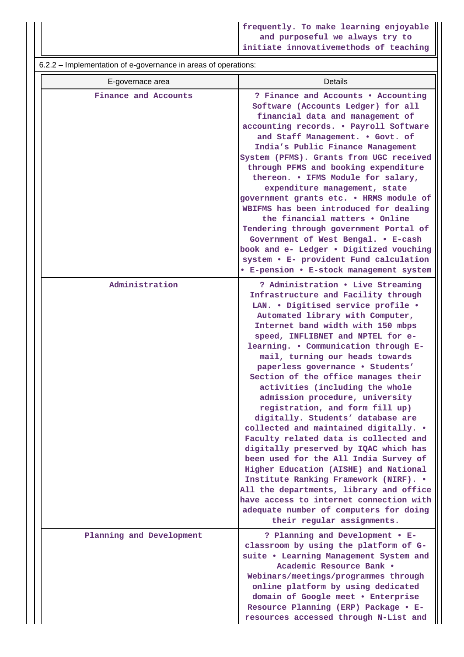6.2.2 – Implementation of e-governance in areas of operations:

| E-governace area         | Details                                                                                                                                                                                                                                                                                                                                                                                                                                                                                                                                                                                                                                                                                                                                                                                                                                                                                                                                              |
|--------------------------|------------------------------------------------------------------------------------------------------------------------------------------------------------------------------------------------------------------------------------------------------------------------------------------------------------------------------------------------------------------------------------------------------------------------------------------------------------------------------------------------------------------------------------------------------------------------------------------------------------------------------------------------------------------------------------------------------------------------------------------------------------------------------------------------------------------------------------------------------------------------------------------------------------------------------------------------------|
| Finance and Accounts     | ? Finance and Accounts . Accounting<br>Software (Accounts Ledger) for all<br>financial data and management of<br>accounting records. . Payroll Software<br>and Staff Management. . Govt. of<br>India's Public Finance Management<br>System (PFMS). Grants from UGC received<br>through PFMS and booking expenditure<br>thereon. . IFMS Module for salary,<br>expenditure management, state<br>government grants etc. . HRMS module of<br>WBIFMS has been introduced for dealing<br>the financial matters • Online<br>Tendering through government Portal of<br>Government of West Bengal. . E-cash<br>book and e- Ledger . Digitized vouching<br>system • E- provident Fund calculation<br>• E-pension • E-stock management system                                                                                                                                                                                                                   |
| Administration           | ? Administration . Live Streaming<br>Infrastructure and Facility through<br>LAN. . Digitised service profile .<br>Automated library with Computer,<br>Internet band width with 150 mbps<br>speed, INFLIBNET and NPTEL for e-<br>learning. . Communication through E-<br>mail, turning our heads towards<br>paperless governance . Students'<br>Section of the office manages their<br>activities (including the whole<br>admission procedure, university<br>registration, and form fill up)<br>digitally. Students' database are<br>collected and maintained digitally. .<br>Faculty related data is collected and<br>digitally preserved by IQAC which has<br>been used for the All India Survey of<br>Higher Education (AISHE) and National<br>Institute Ranking Framework (NIRF). .<br>All the departments, library and office<br>have access to internet connection with<br>adequate number of computers for doing<br>their regular assignments. |
| Planning and Development | ? Planning and Development . E-<br>classroom by using the platform of G-<br>suite . Learning Management System and<br>Academic Resource Bank .<br>Webinars/meetings/programmes through<br>online platform by using dedicated<br>domain of Google meet . Enterprise<br>Resource Planning (ERP) Package . E-<br>resources accessed through N-List and                                                                                                                                                                                                                                                                                                                                                                                                                                                                                                                                                                                                  |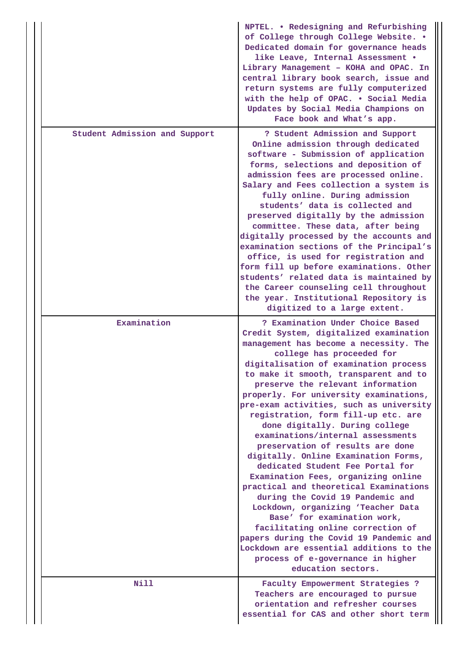|  |                               | NPTEL. . Redesigning and Refurbishing<br>of College through College Website. .<br>Dedicated domain for governance heads<br>like Leave, Internal Assessment .<br>Library Management - KOHA and OPAC. In<br>central library book search, issue and<br>return systems are fully computerized<br>with the help of OPAC. . Social Media<br>Updates by Social Media Champions on<br>Face book and What's app.                                                                                                                                                                                                                                                                                                                                                                                                                                                                                                                                                                     |
|--|-------------------------------|-----------------------------------------------------------------------------------------------------------------------------------------------------------------------------------------------------------------------------------------------------------------------------------------------------------------------------------------------------------------------------------------------------------------------------------------------------------------------------------------------------------------------------------------------------------------------------------------------------------------------------------------------------------------------------------------------------------------------------------------------------------------------------------------------------------------------------------------------------------------------------------------------------------------------------------------------------------------------------|
|  | Student Admission and Support | ? Student Admission and Support<br>Online admission through dedicated<br>software - Submission of application<br>forms, selections and deposition of<br>admission fees are processed online.<br>Salary and Fees collection a system is<br>fully online. During admission<br>students' data is collected and<br>preserved digitally by the admission<br>committee. These data, after being<br>digitally processed by the accounts and<br>examination sections of the Principal's<br>office, is used for registration and<br>form fill up before examinations. Other<br>students' related data is maintained by<br>the Career counseling cell throughout<br>the year. Institutional Repository is<br>digitized to a large extent.                                                                                                                                                                                                                                             |
|  | Examination                   | ? Examination Under Choice Based<br>Credit System, digitalized examination<br>management has become a necessity. The<br>college has proceeded for<br>digitalisation of examination process<br>to make it smooth, transparent and to<br>preserve the relevant information<br>properly. For university examinations,<br>pre-exam activities, such as university<br>registration, form fill-up etc. are<br>done digitally. During college<br>examinations/internal assessments<br>preservation of results are done<br>digitally. Online Examination Forms,<br>dedicated Student Fee Portal for<br>Examination Fees, organizing online<br>practical and theoretical Examinations<br>during the Covid 19 Pandemic and<br>Lockdown, organizing 'Teacher Data<br>Base' for examination work,<br>facilitating online correction of<br>papers during the Covid 19 Pandemic and<br>Lockdown are essential additions to the<br>process of e-governance in higher<br>education sectors. |
|  | Nill                          | Faculty Empowerment Strategies ?<br>Teachers are encouraged to pursue<br>orientation and refresher courses<br>essential for CAS and other short term                                                                                                                                                                                                                                                                                                                                                                                                                                                                                                                                                                                                                                                                                                                                                                                                                        |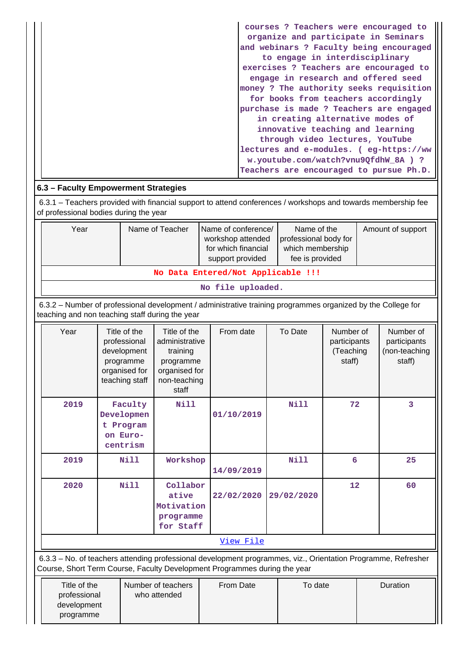| courses ? Teachers were encouraged to   |
|-----------------------------------------|
| organize and participate in Seminars    |
| and webinars ? Faculty being encouraged |
| to engage in interdisciplinary          |
| exercises ? Teachers are encouraged to  |
| engage in research and offered seed     |
| money ? The authority seeks requisition |
| for books from teachers accordingly     |
| purchase is made ? Teachers are engaged |
| in creating alternative modes of        |
| innovative teaching and learning        |
| through video lectures, YouTube         |
| lectures and e-modules. ( eg-https://ww |
| w.youtube.com/watch?vnu9QfdhW 8A ) ?    |
| Teachers are encouraged to pursue Ph.D. |

## **6.3 – Faculty Empowerment Strategies**

programme

 6.3.1 – Teachers provided with financial support to attend conferences / workshops and towards membership fee of professional bodies during the year

| Year                                                                        | Name of the<br>professional body for<br>which membership<br>fee is provided | Amount of support |  |  |  |  |  |  |  |
|-----------------------------------------------------------------------------|-----------------------------------------------------------------------------|-------------------|--|--|--|--|--|--|--|
| support provided<br>No Data Entered/Not Applicable !!!<br>No file uploaded. |                                                                             |                   |  |  |  |  |  |  |  |

 6.3.2 – Number of professional development / administrative training programmes organized by the College for teaching and non teaching staff during the year

|                                             | Year                                                                                                                                                                                       | Title of the<br>professional<br>development<br>programme<br>organised for<br>teaching staff | Title of the<br>administrative<br>training<br>programme<br>organised for<br>non-teaching<br>staff | From date  | To Date     | Number of<br>participants<br>(Teaching<br>staff) |          | Number of<br>participants<br>(non-teaching<br>staff) |  |
|---------------------------------------------|--------------------------------------------------------------------------------------------------------------------------------------------------------------------------------------------|---------------------------------------------------------------------------------------------|---------------------------------------------------------------------------------------------------|------------|-------------|--------------------------------------------------|----------|------------------------------------------------------|--|
|                                             | 2019                                                                                                                                                                                       | Faculty<br>Developmen<br>t Program<br>on Euro-<br>centrism                                  | <b>Nill</b>                                                                                       | 01/10/2019 | Nill        | 72                                               |          | 3                                                    |  |
|                                             | 2019                                                                                                                                                                                       | <b>Nill</b>                                                                                 | Workshop                                                                                          | 14/09/2019 | <b>Nill</b> | 6<br>25                                          |          |                                                      |  |
|                                             | 2020                                                                                                                                                                                       | Nill                                                                                        | Collabor<br>ative<br>Motivation<br>programme<br>for Staff                                         | 22/02/2020 | 29/02/2020  | 12                                               |          | 60                                                   |  |
|                                             | View File                                                                                                                                                                                  |                                                                                             |                                                                                                   |            |             |                                                  |          |                                                      |  |
|                                             | 6.3.3 - No. of teachers attending professional development programmes, viz., Orientation Programme, Refresher<br>Course, Short Term Course, Faculty Development Programmes during the year |                                                                                             |                                                                                                   |            |             |                                                  |          |                                                      |  |
| Title of the<br>professional<br>development |                                                                                                                                                                                            | Number of teachers<br>who attended                                                          | From Date                                                                                         | To date    |             |                                                  | Duration |                                                      |  |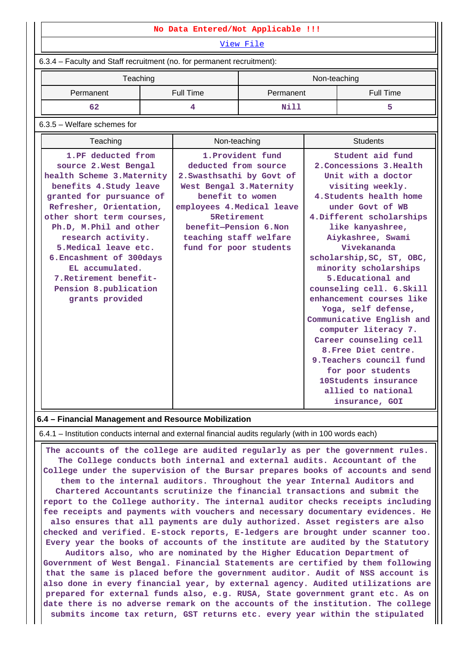| No Data Entered/Not Applicable !!!<br>View File<br>6.3.4 - Faculty and Staff recruitment (no. for permanent recruitment):<br>Teaching<br>Non-teaching<br>Permanent<br><b>Full Time</b><br>Permanent<br><b>Full Time</b><br>62<br>4<br>Nill<br>5<br>6.3.5 - Welfare schemes for<br><b>Students</b><br>Teaching<br>Non-teaching<br>1.PF deducted from<br>1. Provident fund<br>Student aid fund<br>deducted from source<br>2. Concessions 3. Health<br>source 2. West Bengal<br>Unit with a doctor<br>health Scheme 3. Maternity<br>2. Swasthsathi by Govt of<br>benefits 4. Study leave<br>West Bengal 3. Maternity<br>visiting weekly.<br>benefit to women<br>granted for pursuance of<br>4. Students health home<br>Refresher, Orientation,<br>employees 4. Medical leave<br>under Govt of WB<br><b>SRetirement</b><br>other short term courses,<br>4. Different scholarships<br>benefit-Pension 6.Non<br>Ph.D, M.Phil and other<br>like kanyashree,<br>research activity.<br>teaching staff welfare<br>Aiykashree, Swami<br>5. Medical leave etc.<br>Vivekananda<br>fund for poor students<br>scholarship, SC, ST, OBC,<br>6. Encashment of 300days<br>EL accumulated.<br>minority scholarships<br>7. Retirement benefit-<br>5. Educational and<br>Pension 8.publication<br>counseling cell. 6. Skill<br>enhancement courses like<br>grants provided<br>Yoga, self defense,<br>Communicative English and |  |  |  |  |  |  |  |  |  |
|-----------------------------------------------------------------------------------------------------------------------------------------------------------------------------------------------------------------------------------------------------------------------------------------------------------------------------------------------------------------------------------------------------------------------------------------------------------------------------------------------------------------------------------------------------------------------------------------------------------------------------------------------------------------------------------------------------------------------------------------------------------------------------------------------------------------------------------------------------------------------------------------------------------------------------------------------------------------------------------------------------------------------------------------------------------------------------------------------------------------------------------------------------------------------------------------------------------------------------------------------------------------------------------------------------------------------------------------------------------------------------------------------------------|--|--|--|--|--|--|--|--|--|
|                                                                                                                                                                                                                                                                                                                                                                                                                                                                                                                                                                                                                                                                                                                                                                                                                                                                                                                                                                                                                                                                                                                                                                                                                                                                                                                                                                                                           |  |  |  |  |  |  |  |  |  |
|                                                                                                                                                                                                                                                                                                                                                                                                                                                                                                                                                                                                                                                                                                                                                                                                                                                                                                                                                                                                                                                                                                                                                                                                                                                                                                                                                                                                           |  |  |  |  |  |  |  |  |  |
|                                                                                                                                                                                                                                                                                                                                                                                                                                                                                                                                                                                                                                                                                                                                                                                                                                                                                                                                                                                                                                                                                                                                                                                                                                                                                                                                                                                                           |  |  |  |  |  |  |  |  |  |
|                                                                                                                                                                                                                                                                                                                                                                                                                                                                                                                                                                                                                                                                                                                                                                                                                                                                                                                                                                                                                                                                                                                                                                                                                                                                                                                                                                                                           |  |  |  |  |  |  |  |  |  |
|                                                                                                                                                                                                                                                                                                                                                                                                                                                                                                                                                                                                                                                                                                                                                                                                                                                                                                                                                                                                                                                                                                                                                                                                                                                                                                                                                                                                           |  |  |  |  |  |  |  |  |  |
|                                                                                                                                                                                                                                                                                                                                                                                                                                                                                                                                                                                                                                                                                                                                                                                                                                                                                                                                                                                                                                                                                                                                                                                                                                                                                                                                                                                                           |  |  |  |  |  |  |  |  |  |
|                                                                                                                                                                                                                                                                                                                                                                                                                                                                                                                                                                                                                                                                                                                                                                                                                                                                                                                                                                                                                                                                                                                                                                                                                                                                                                                                                                                                           |  |  |  |  |  |  |  |  |  |
|                                                                                                                                                                                                                                                                                                                                                                                                                                                                                                                                                                                                                                                                                                                                                                                                                                                                                                                                                                                                                                                                                                                                                                                                                                                                                                                                                                                                           |  |  |  |  |  |  |  |  |  |
| computer literacy 7.<br>Career counseling cell<br>8. Free Diet centre.<br>9. Teachers council fund<br>for poor students<br>10Students insurance<br>allied to national                                                                                                                                                                                                                                                                                                                                                                                                                                                                                                                                                                                                                                                                                                                                                                                                                                                                                                                                                                                                                                                                                                                                                                                                                                     |  |  |  |  |  |  |  |  |  |

#### **6.4 – Financial Management and Resource Mobilization**

6.4.1 – Institution conducts internal and external financial audits regularly (with in 100 words each)

 **The accounts of the college are audited regularly as per the government rules. The College conducts both internal and external audits. Accountant of the College under the supervision of the Bursar prepares books of accounts and send them to the internal auditors. Throughout the year Internal Auditors and Chartered Accountants scrutinize the financial transactions and submit the report to the College authority. The internal auditor checks receipts including fee receipts and payments with vouchers and necessary documentary evidences. He also ensures that all payments are duly authorized. Asset registers are also checked and verified. E-stock reports, E-ledgers are brought under scanner too. Every year the books of accounts of the institute are audited by the Statutory**

**Auditors also, who are nominated by the Higher Education Department of Government of West Bengal. Financial Statements are certified by them following that the same is placed before the government auditor. Audit of NSS account is also done in every financial year, by external agency. Audited utilizations are prepared for external funds also, e.g. RUSA, State government grant etc. As on date there is no adverse remark on the accounts of the institution. The college submits income tax return, GST returns etc. every year within the stipulated**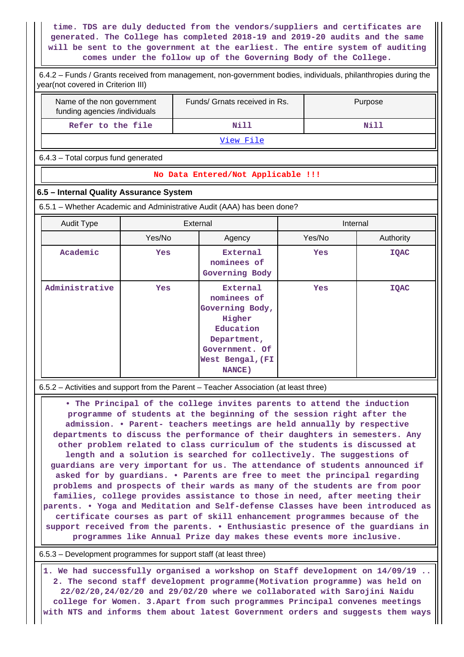**time. TDS are duly deducted from the vendors/suppliers and certificates are generated. The College has completed 2018-19 and 2019-20 audits and the same will be sent to the government at the earliest. The entire system of auditing comes under the follow up of the Governing Body of the College.**

 6.4.2 – Funds / Grants received from management, non-government bodies, individuals, philanthropies during the year(not covered in Criterion III)

| Name of the non government<br>funding agencies /individuals | Funds/ Grnats received in Rs. | Purpose |  |  |  |
|-------------------------------------------------------------|-------------------------------|---------|--|--|--|
| Refer to the file                                           | Nill                          | Nill    |  |  |  |
| View File                                                   |                               |         |  |  |  |

6.4.3 – Total corpus fund generated

#### **No Data Entered/Not Applicable !!!**

#### **6.5 – Internal Quality Assurance System**

6.5.1 – Whether Academic and Administrative Audit (AAA) has been done?

| Audit Type     | External                                                |                                                                                                                                         | Internal   |             |  |  |
|----------------|---------------------------------------------------------|-----------------------------------------------------------------------------------------------------------------------------------------|------------|-------------|--|--|
|                | Yes/No                                                  | Agency                                                                                                                                  | Yes/No     | Authority   |  |  |
| Academic       | External<br><b>Yes</b><br>nominees of<br>Governing Body |                                                                                                                                         | <b>Yes</b> | <b>IQAC</b> |  |  |
| Administrative | <b>Yes</b>                                              | <b>External</b><br>nominees of<br>Governing Body,<br>Higher<br>Education<br>Department,<br>Government. Of<br>West Bengal, (FI<br>NANCE) | <b>Yes</b> | <b>IQAC</b> |  |  |

6.5.2 – Activities and support from the Parent – Teacher Association (at least three)

 **• The Principal of the college invites parents to attend the induction programme of students at the beginning of the session right after the admission. • Parent- teachers meetings are held annually by respective departments to discuss the performance of their daughters in semesters. Any other problem related to class curriculum of the students is discussed at length and a solution is searched for collectively. The suggestions of guardians are very important for us. The attendance of students announced if asked for by guardians. • Parents are free to meet the principal regarding problems and prospects of their wards as many of the students are from poor families, college provides assistance to those in need, after meeting their parents. • Yoga and Meditation and Self-defense Classes have been introduced as certificate courses as part of skill enhancement programmes because of the support received from the parents. • Enthusiastic presence of the guardians in programmes like Annual Prize day makes these events more inclusive.**

6.5.3 – Development programmes for support staff (at least three)

 **1. We had successfully organised a workshop on Staff development on 14/09/19 .. 2. The second staff development programme(Motivation programme) was held on 22/02/20,24/02/20 and 29/02/20 where we collaborated with Sarojini Naidu college for Women. 3.Apart from such programmes Principal convenes meetings with NTS and informs them about latest Government orders and suggests them ways**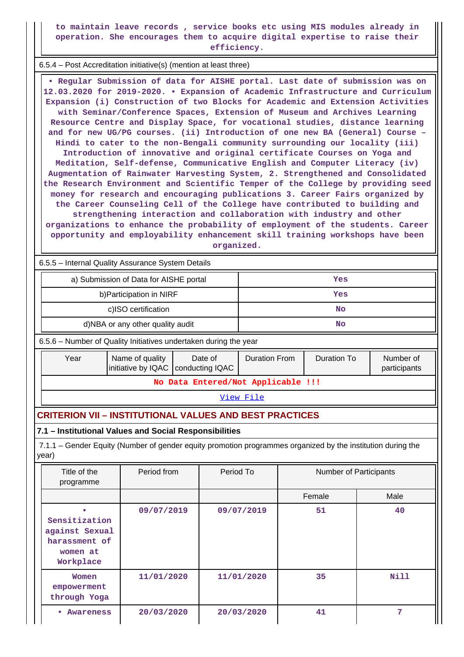**to maintain leave records , service books etc using MIS modules already in operation. She encourages them to acquire digital expertise to raise their efficiency.**

6.5.4 – Post Accreditation initiative(s) (mention at least three)

 **• Regular Submission of data for AISHE portal. Last date of submission was on 12.03.2020 for 2019-2020. • Expansion of Academic Infrastructure and Curriculum Expansion (i) Construction of two Blocks for Academic and Extension Activities with Seminar/Conference Spaces, Extension of Museum and Archives Learning Resource Centre and Display Space, for vocational studies, distance learning and for new UG/PG courses. (ii) Introduction of one new BA (General) Course – Hindi to cater to the non-Bengali community surrounding our locality (iii) Introduction of innovative and original certificate Courses on Yoga and Meditation, Self-defense, Communicative English and Computer Literacy (iv) Augmentation of Rainwater Harvesting System, 2. Strengthened and Consolidated the Research Environment and Scientific Temper of the College by providing seed money for research and encouraging publications 3. Career Fairs organized by the Career Counseling Cell of the College have contributed to building and strengthening interaction and collaboration with industry and other organizations to enhance the probability of employment of the students. Career opportunity and employability enhancement skill training workshops have been organized.**

6.5.5 – Internal Quality Assurance System Details

|                                                                                                                      | a) Submission of Data for AISHE portal                                    |                            |                                            |                                    |            |                           | Yes                    |             |
|----------------------------------------------------------------------------------------------------------------------|---------------------------------------------------------------------------|----------------------------|--------------------------------------------|------------------------------------|------------|---------------------------|------------------------|-------------|
|                                                                                                                      |                                                                           | b) Participation in NIRF   |                                            |                                    | Yes        |                           |                        |             |
|                                                                                                                      |                                                                           | c)ISO certification        |                                            |                                    |            |                           | <b>No</b>              |             |
|                                                                                                                      | d)NBA or any other quality audit                                          |                            |                                            |                                    |            |                           | <b>No</b>              |             |
|                                                                                                                      | 6.5.6 - Number of Quality Initiatives undertaken during the year          |                            |                                            |                                    |            |                           |                        |             |
|                                                                                                                      | Year<br>Name of quality<br>initiative by IQAC                             | Date of<br>conducting IQAC | <b>Duration To</b><br><b>Duration From</b> |                                    |            | Number of<br>participants |                        |             |
|                                                                                                                      |                                                                           |                            |                                            | No Data Entered/Not Applicable !!! |            |                           |                        |             |
|                                                                                                                      | View File                                                                 |                            |                                            |                                    |            |                           |                        |             |
|                                                                                                                      | <b>CRITERION VII - INSTITUTIONAL VALUES AND BEST PRACTICES</b>            |                            |                                            |                                    |            |                           |                        |             |
|                                                                                                                      | 7.1 - Institutional Values and Social Responsibilities                    |                            |                                            |                                    |            |                           |                        |             |
| 7.1.1 – Gender Equity (Number of gender equity promotion programmes organized by the institution during the<br>year) |                                                                           |                            |                                            |                                    |            |                           |                        |             |
|                                                                                                                      | Title of the<br>programme                                                 | Period from                |                                            | Period To                          |            |                           | Number of Participants |             |
|                                                                                                                      |                                                                           |                            |                                            |                                    |            |                           | Female                 | Male        |
|                                                                                                                      | Sensitization<br>against Sexual<br>harassment of<br>women at<br>Workplace | 09/07/2019                 |                                            |                                    | 09/07/2019 |                           | 51                     | 40          |
|                                                                                                                      | Women<br>empowerment<br>through Yoga                                      | 11/01/2020                 |                                            |                                    | 11/01/2020 |                           | 35                     | <b>Nill</b> |
|                                                                                                                      | • Awareness                                                               | 20/03/2020                 |                                            |                                    | 20/03/2020 |                           | 41                     | 7           |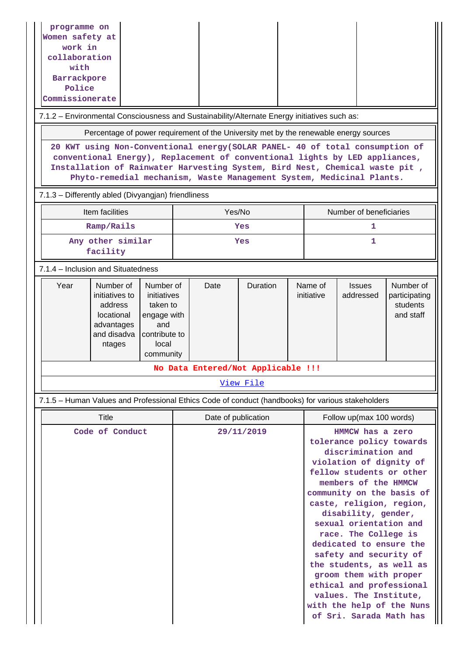| programme on<br>Women safety at<br>work in<br>collaboration<br>with<br>Barrackpore<br>Police<br>Commissionerate<br>7.1.2 - Environmental Consciousness and Sustainability/Alternate Energy initiatives such as:<br>Percentage of power requirement of the University met by the renewable energy sources<br>20 KWT using Non-Conventional energy (SOLAR PANEL- 40 of total consumption of<br>conventional Energy), Replacement of conventional lights by LED appliances,<br>Installation of Rainwater Harvesting System, Bird Nest, Chemical waste pit,<br>Phyto-remedial mechanism, Waste Management System, Medicinal Plants.<br>7.1.3 - Differently abled (Divyangjan) friendliness |        |                     |  |                       |                                                                                                                                                                                                                                                                                                                                                                                                                                                                                                              |                                                     |  |  |  |
|----------------------------------------------------------------------------------------------------------------------------------------------------------------------------------------------------------------------------------------------------------------------------------------------------------------------------------------------------------------------------------------------------------------------------------------------------------------------------------------------------------------------------------------------------------------------------------------------------------------------------------------------------------------------------------------|--------|---------------------|--|-----------------------|--------------------------------------------------------------------------------------------------------------------------------------------------------------------------------------------------------------------------------------------------------------------------------------------------------------------------------------------------------------------------------------------------------------------------------------------------------------------------------------------------------------|-----------------------------------------------------|--|--|--|
| Item facilities                                                                                                                                                                                                                                                                                                                                                                                                                                                                                                                                                                                                                                                                        | Yes/No |                     |  |                       |                                                                                                                                                                                                                                                                                                                                                                                                                                                                                                              | Number of beneficiaries                             |  |  |  |
| Ramp/Rails                                                                                                                                                                                                                                                                                                                                                                                                                                                                                                                                                                                                                                                                             |        | Yes                 |  |                       | 1                                                                                                                                                                                                                                                                                                                                                                                                                                                                                                            |                                                     |  |  |  |
| Any other similar<br>facility                                                                                                                                                                                                                                                                                                                                                                                                                                                                                                                                                                                                                                                          |        | Yes                 |  | 1                     |                                                                                                                                                                                                                                                                                                                                                                                                                                                                                                              |                                                     |  |  |  |
| 7.1.4 – Inclusion and Situatedness                                                                                                                                                                                                                                                                                                                                                                                                                                                                                                                                                                                                                                                     |        |                     |  |                       |                                                                                                                                                                                                                                                                                                                                                                                                                                                                                                              |                                                     |  |  |  |
| Year<br>Number of<br>Number of<br>initiatives to<br>initiatives<br>address<br>taken to<br>locational<br>engage with<br>and<br>advantages<br>and disadva<br>contribute to<br>local<br>ntages<br>community                                                                                                                                                                                                                                                                                                                                                                                                                                                                               | Date   | Duration            |  | Name of<br>initiative | <b>Issues</b><br>addressed                                                                                                                                                                                                                                                                                                                                                                                                                                                                                   | Number of<br>participating<br>students<br>and staff |  |  |  |
| No Data Entered/Not Applicable !!!                                                                                                                                                                                                                                                                                                                                                                                                                                                                                                                                                                                                                                                     |        |                     |  |                       |                                                                                                                                                                                                                                                                                                                                                                                                                                                                                                              |                                                     |  |  |  |
|                                                                                                                                                                                                                                                                                                                                                                                                                                                                                                                                                                                                                                                                                        |        | <u>View File</u>    |  |                       |                                                                                                                                                                                                                                                                                                                                                                                                                                                                                                              |                                                     |  |  |  |
| 7.1.5 – Human Values and Professional Ethics Code of conduct (handbooks) for various stakeholders                                                                                                                                                                                                                                                                                                                                                                                                                                                                                                                                                                                      |        |                     |  |                       |                                                                                                                                                                                                                                                                                                                                                                                                                                                                                                              |                                                     |  |  |  |
| <b>Title</b>                                                                                                                                                                                                                                                                                                                                                                                                                                                                                                                                                                                                                                                                           |        | Date of publication |  |                       | Follow up(max 100 words)                                                                                                                                                                                                                                                                                                                                                                                                                                                                                     |                                                     |  |  |  |
| Code of Conduct                                                                                                                                                                                                                                                                                                                                                                                                                                                                                                                                                                                                                                                                        |        | 29/11/2019          |  |                       | HMMCW has a zero<br>tolerance policy towards<br>discrimination and<br>violation of dignity of<br>fellow students or other<br>members of the HMMCW<br>community on the basis of<br>caste, religion, region,<br>disability, gender,<br>sexual orientation and<br>race. The College is<br>dedicated to ensure the<br>safety and security of<br>the students, as well as<br>groom them with proper<br>ethical and professional<br>values. The Institute,<br>with the help of the Nuns<br>of Sri. Sarada Math has |                                                     |  |  |  |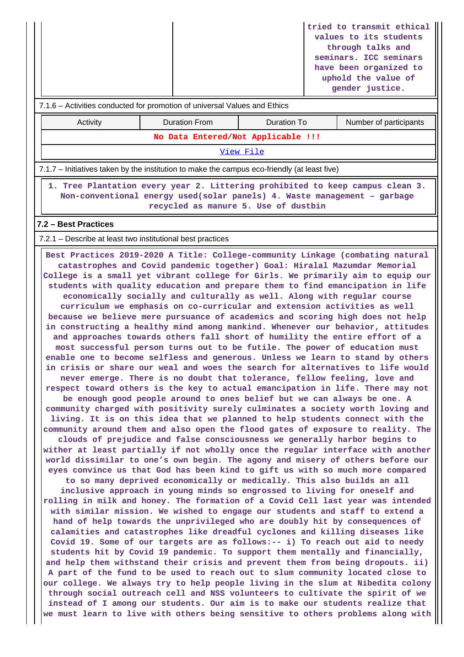|                                                                                                                                                                                                                                                                                                                                                                                                                                                                                                                                                                                                                                                                                                                                                                                                                                                                                                                                                                                                                                                                                                                                                                                                                                                                                                                                                                                                                                                                                                                                                                                                                                                                                                                                                                                                                                                                                                                                                                                                                                                                                                                                                                                                                                                                                                                                                                                                                                                                                                                                                                                                                                                                                                                                                                                                                                                                                                                                                                                                |                      |             |  | tried to transmit ethical<br>values to its students<br>through talks and<br>seminars. ICC seminars<br>have been organized to<br>uphold the value of<br>gender justice. |  |  |  |  |
|------------------------------------------------------------------------------------------------------------------------------------------------------------------------------------------------------------------------------------------------------------------------------------------------------------------------------------------------------------------------------------------------------------------------------------------------------------------------------------------------------------------------------------------------------------------------------------------------------------------------------------------------------------------------------------------------------------------------------------------------------------------------------------------------------------------------------------------------------------------------------------------------------------------------------------------------------------------------------------------------------------------------------------------------------------------------------------------------------------------------------------------------------------------------------------------------------------------------------------------------------------------------------------------------------------------------------------------------------------------------------------------------------------------------------------------------------------------------------------------------------------------------------------------------------------------------------------------------------------------------------------------------------------------------------------------------------------------------------------------------------------------------------------------------------------------------------------------------------------------------------------------------------------------------------------------------------------------------------------------------------------------------------------------------------------------------------------------------------------------------------------------------------------------------------------------------------------------------------------------------------------------------------------------------------------------------------------------------------------------------------------------------------------------------------------------------------------------------------------------------------------------------------------------------------------------------------------------------------------------------------------------------------------------------------------------------------------------------------------------------------------------------------------------------------------------------------------------------------------------------------------------------------------------------------------------------------------------------------------------------|----------------------|-------------|--|------------------------------------------------------------------------------------------------------------------------------------------------------------------------|--|--|--|--|
| 7.1.6 - Activities conducted for promotion of universal Values and Ethics                                                                                                                                                                                                                                                                                                                                                                                                                                                                                                                                                                                                                                                                                                                                                                                                                                                                                                                                                                                                                                                                                                                                                                                                                                                                                                                                                                                                                                                                                                                                                                                                                                                                                                                                                                                                                                                                                                                                                                                                                                                                                                                                                                                                                                                                                                                                                                                                                                                                                                                                                                                                                                                                                                                                                                                                                                                                                                                      |                      |             |  |                                                                                                                                                                        |  |  |  |  |
| Activity                                                                                                                                                                                                                                                                                                                                                                                                                                                                                                                                                                                                                                                                                                                                                                                                                                                                                                                                                                                                                                                                                                                                                                                                                                                                                                                                                                                                                                                                                                                                                                                                                                                                                                                                                                                                                                                                                                                                                                                                                                                                                                                                                                                                                                                                                                                                                                                                                                                                                                                                                                                                                                                                                                                                                                                                                                                                                                                                                                                       | <b>Duration From</b> | Duration To |  | Number of participants                                                                                                                                                 |  |  |  |  |
| No Data Entered/Not Applicable !!!                                                                                                                                                                                                                                                                                                                                                                                                                                                                                                                                                                                                                                                                                                                                                                                                                                                                                                                                                                                                                                                                                                                                                                                                                                                                                                                                                                                                                                                                                                                                                                                                                                                                                                                                                                                                                                                                                                                                                                                                                                                                                                                                                                                                                                                                                                                                                                                                                                                                                                                                                                                                                                                                                                                                                                                                                                                                                                                                                             |                      |             |  |                                                                                                                                                                        |  |  |  |  |
| View File                                                                                                                                                                                                                                                                                                                                                                                                                                                                                                                                                                                                                                                                                                                                                                                                                                                                                                                                                                                                                                                                                                                                                                                                                                                                                                                                                                                                                                                                                                                                                                                                                                                                                                                                                                                                                                                                                                                                                                                                                                                                                                                                                                                                                                                                                                                                                                                                                                                                                                                                                                                                                                                                                                                                                                                                                                                                                                                                                                                      |                      |             |  |                                                                                                                                                                        |  |  |  |  |
| 7.1.7 – Initiatives taken by the institution to make the campus eco-friendly (at least five)                                                                                                                                                                                                                                                                                                                                                                                                                                                                                                                                                                                                                                                                                                                                                                                                                                                                                                                                                                                                                                                                                                                                                                                                                                                                                                                                                                                                                                                                                                                                                                                                                                                                                                                                                                                                                                                                                                                                                                                                                                                                                                                                                                                                                                                                                                                                                                                                                                                                                                                                                                                                                                                                                                                                                                                                                                                                                                   |                      |             |  |                                                                                                                                                                        |  |  |  |  |
| 1. Tree Plantation every year 2. Littering prohibited to keep campus clean 3.<br>Non-conventional energy used(solar panels) 4. Waste management - garbage<br>recycled as manure 5. Use of dustbin                                                                                                                                                                                                                                                                                                                                                                                                                                                                                                                                                                                                                                                                                                                                                                                                                                                                                                                                                                                                                                                                                                                                                                                                                                                                                                                                                                                                                                                                                                                                                                                                                                                                                                                                                                                                                                                                                                                                                                                                                                                                                                                                                                                                                                                                                                                                                                                                                                                                                                                                                                                                                                                                                                                                                                                              |                      |             |  |                                                                                                                                                                        |  |  |  |  |
| 7.2 - Best Practices                                                                                                                                                                                                                                                                                                                                                                                                                                                                                                                                                                                                                                                                                                                                                                                                                                                                                                                                                                                                                                                                                                                                                                                                                                                                                                                                                                                                                                                                                                                                                                                                                                                                                                                                                                                                                                                                                                                                                                                                                                                                                                                                                                                                                                                                                                                                                                                                                                                                                                                                                                                                                                                                                                                                                                                                                                                                                                                                                                           |                      |             |  |                                                                                                                                                                        |  |  |  |  |
| 7.2.1 – Describe at least two institutional best practices                                                                                                                                                                                                                                                                                                                                                                                                                                                                                                                                                                                                                                                                                                                                                                                                                                                                                                                                                                                                                                                                                                                                                                                                                                                                                                                                                                                                                                                                                                                                                                                                                                                                                                                                                                                                                                                                                                                                                                                                                                                                                                                                                                                                                                                                                                                                                                                                                                                                                                                                                                                                                                                                                                                                                                                                                                                                                                                                     |                      |             |  |                                                                                                                                                                        |  |  |  |  |
| Best Practices 2019-2020 A Title: College-community Linkage (combating natural<br>catastrophes and Covid pandemic together) Goal: Hiralal Mazumdar Memorial<br>College is a small yet vibrant college for Girls. We primarily aim to equip our<br>students with quality education and prepare them to find emancipation in life<br>economically socially and culturally as well. Along with regular course<br>curriculum we emphasis on co-curricular and extension activities as well<br>because we believe mere pursuance of academics and scoring high does not help<br>in constructing a healthy mind among mankind. Whenever our behavior, attitudes<br>and approaches towards others fall short of humility the entire effort of a<br>most successful person turns out to be futile. The power of education must<br>enable one to become selfless and generous. Unless we learn to stand by others<br>in crisis or share our weal and woes the search for alternatives to life would<br>never emerge. There is no doubt that tolerance, fellow feeling, love and<br>respect toward others is the key to actual emancipation in life. There may not<br>be enough good people around to ones belief but we can always be one. A<br>community charged with positivity surely culminates a society worth loving and<br>living. It is on this idea that we planned to help students connect with the<br>community around them and also open the flood gates of exposure to reality. The<br>clouds of prejudice and false consciousness we generally harbor begins to<br>wither at least partially if not wholly once the regular interface with another<br>world dissimilar to one's own begin. The agony and misery of others before our<br>eyes convince us that God has been kind to gift us with so much more compared<br>to so many deprived economically or medically. This also builds an all<br>inclusive approach in young minds so engrossed to living for oneself and<br>rolling in milk and honey. The formation of a Covid Cell last year was intended<br>with similar mission. We wished to engage our students and staff to extend a<br>hand of help towards the unprivileged who are doubly hit by consequences of<br>calamities and catastrophes like dreadful cyclones and killing diseases like<br>Covid 19. Some of our targets are as follows:-- i) To reach out aid to needy<br>students hit by Covid 19 pandemic. To support them mentally and financially,<br>and help them withstand their crisis and prevent them from being dropouts. ii)<br>A part of the fund to be used to reach out to slum community located close to<br>our college. We always try to help people living in the slum at Nibedita colony<br>through social outreach cell and NSS volunteers to cultivate the spirit of we<br>instead of I among our students. Our aim is to make our students realize that<br>we must learn to live with others being sensitive to others problems along with |                      |             |  |                                                                                                                                                                        |  |  |  |  |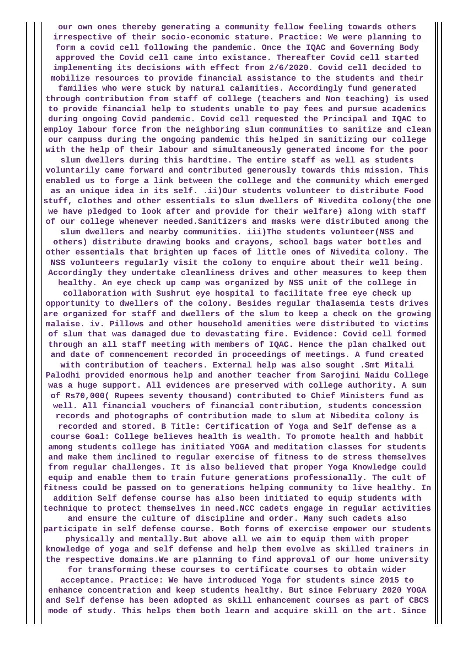**our own ones thereby generating a community fellow feeling towards others irrespective of their socio-economic stature. Practice: We were planning to form a covid cell following the pandemic. Once the IQAC and Governing Body approved the Covid cell came into existance. Thereafter Covid cell started implementing its decisions with effect from 2/6/2020. Covid cell decided to mobilize resources to provide financial assistance to the students and their**

**families who were stuck by natural calamities. Accordingly fund generated through contribution from staff of college (teachers and Non teaching) is used to provide financial help to students unable to pay fees and pursue academics during ongoing Covid pandemic. Covid cell requested the Principal and IQAC to employ labour force from the neighboring slum communities to sanitize and clean our campuss during the ongoing pandemic this helped in sanitizing our college with the help of their labour and simultaneously generated income for the poor**

**slum dwellers during this hardtime. The entire staff as well as students voluntarily came forward and contributed generously towards this mission. This enabled us to forge a link between the college and the community which emerged as an unique idea in its self. .ii)Our students volunteer to distribute Food stuff, clothes and other essentials to slum dwellers of Nivedita colony(the one we have pledged to look after and provide for their welfare) along with staff of our college whenever needed.Sanitizers and masks were distributed among the**

**slum dwellers and nearby communities. iii)The students volunteer(NSS and others) distribute drawing books and crayons, school bags water bottles and other essentials that brighten up faces of little ones of Nivedita colony. The NSS volunteers regularly visit the colony to enquire about their well being. Accordingly they undertake cleanliness drives and other measures to keep them healthy. An eye check up camp was organized by NSS unit of the college in**

**collaboration with Sushrut eye hospital to facilitate free eye check up opportunity to dwellers of the colony. Besides regular thalasemia tests drives are organized for staff and dwellers of the slum to keep a check on the growing malaise. iv. Pillows and other household amenities were distributed to victims of slum that was damaged due to devastating fire. Evidence: Covid cell formed through an all staff meeting with members of IQAC. Hence the plan chalked out and date of commencement recorded in proceedings of meetings. A fund created**

**with contribution of teachers. External help was also sought .Smt Mitali Palodhi provided enormous help and another teacher from Sarojini Naidu College was a huge support. All evidences are preserved with college authority. A sum of Rs70,000( Rupees seventy thousand) contributed to Chief Ministers fund as well. All financial vouchers of financial contribution, students concession records and photographs of contribution made to slum at Nibedita colony is recorded and stored. B Title: Certification of Yoga and Self defense as a course Goal: College believes health is wealth. To promote health and habbit among students college has initiated YOGA and meditation classes for students and make them inclined to regular exercise of fitness to de stress themselves from regular challenges. It is also believed that proper Yoga Knowledge could equip and enable them to train future generations professionally. The cult of fitness could be passed on to generations helping community to live healthy. In**

**addition Self defense course has also been initiated to equip students with technique to protect themselves in need.NCC cadets engage in regular activities and ensure the culture of discipline and order. Many such cadets also**

**participate in self defense course. Both forms of exercise empower our students physically and mentally.But above all we aim to equip them with proper knowledge of yoga and self defense and help them evolve as skilled trainers in the respective domains.We are planning to find approval of our home university**

**for transforming these courses to certificate courses to obtain wider acceptance. Practice: We have introduced Yoga for students since 2015 to enhance concentration and keep students healthy. But since February 2020 YOGA and Self defense has been adopted as skill enhancement courses as part of CBCS mode of study. This helps them both learn and acquire skill on the art. Since**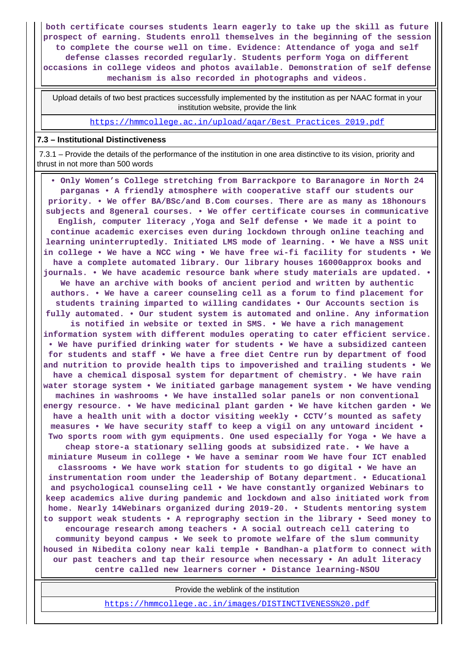**both certificate courses students learn eagerly to take up the skill as future prospect of earning. Students enroll themselves in the beginning of the session to complete the course well on time. Evidence: Attendance of yoga and self defense classes recorded regularly. Students perform Yoga on different occasions in college videos and photos available. Demonstration of self defense mechanism is also recorded in photographs and videos.**

 Upload details of two best practices successfully implemented by the institution as per NAAC format in your institution website, provide the link

https://hmmcollege.ac.in/upload/aqar/Best\_Practices\_2019.pdf

#### **7.3 – Institutional Distinctiveness**

 7.3.1 – Provide the details of the performance of the institution in one area distinctive to its vision, priority and thrust in not more than 500 words

 **• Only Women's College stretching from Barrackpore to Baranagore in North 24 parganas • A friendly atmosphere with cooperative staff our students our priority. • We offer BA/BSc/and B.Com courses. There are as many as 18honours subjects and 8general courses. • We offer certificate courses in communicative English, computer literacy ,Yoga and Self defense • We made it a point to continue academic exercises even during lockdown through online teaching and learning uninterruptedly. Initiated LMS mode of learning. • We have a NSS unit in college • We have a NCC wing • We have free wi-fi facility for students • We have a complete automated library. Our library houses 16000approx books and journals. • We have academic resource bank where study materials are updated. • We have an archive with books of ancient period and written by authentic authors. • We have a career counseling cell as a forum to find placement for students training imparted to willing candidates • Our Accounts section is fully automated. • Our student system is automated and online. Any information is notified in website or texted in SMS. • We have a rich management information system with different modules operating to cater efficient service. • We have purified drinking water for students • We have a subsidized canteen for students and staff • We have a free diet Centre run by department of food and nutrition to provide health tips to impoverished and trailing students • We have a chemical disposal system for department of chemistry. • We have rain water storage system • We initiated garbage management system • We have vending machines in washrooms • We have installed solar panels or non conventional energy resource. • We have medicinal plant garden • We have kitchen garden • We have a health unit with a doctor visiting weekly • CCTV's mounted as safety measures • We have security staff to keep a vigil on any untoward incident • Two sports room with gym equipments. One used especially for Yoga • We have a cheap store-a stationary selling goods at subsidized rate. • We have a miniature Museum in college • We have a seminar room We have four ICT enabled classrooms • We have work station for students to go digital • We have an instrumentation room under the leadership of Botany department. • Educational and psychological counseling cell • We have constantly organized Webinars to keep academics alive during pandemic and lockdown and also initiated work from home. Nearly 14Webinars organized during 2019-20. • Students mentoring system to support weak students • A reprography section in the library • Seed money to encourage research among teachers • A social outreach cell catering to community beyond campus • We seek to promote welfare of the slum community housed in Nibedita colony near kali temple • Bandhan-a platform to connect with our past teachers and tap their resource when necessary • An adult literacy centre called new learners corner • Distance learning-NSOU**

Provide the weblink of the institution

https://hmmcollege.ac.in/images/DISTINCTIVENESS%20.pdf